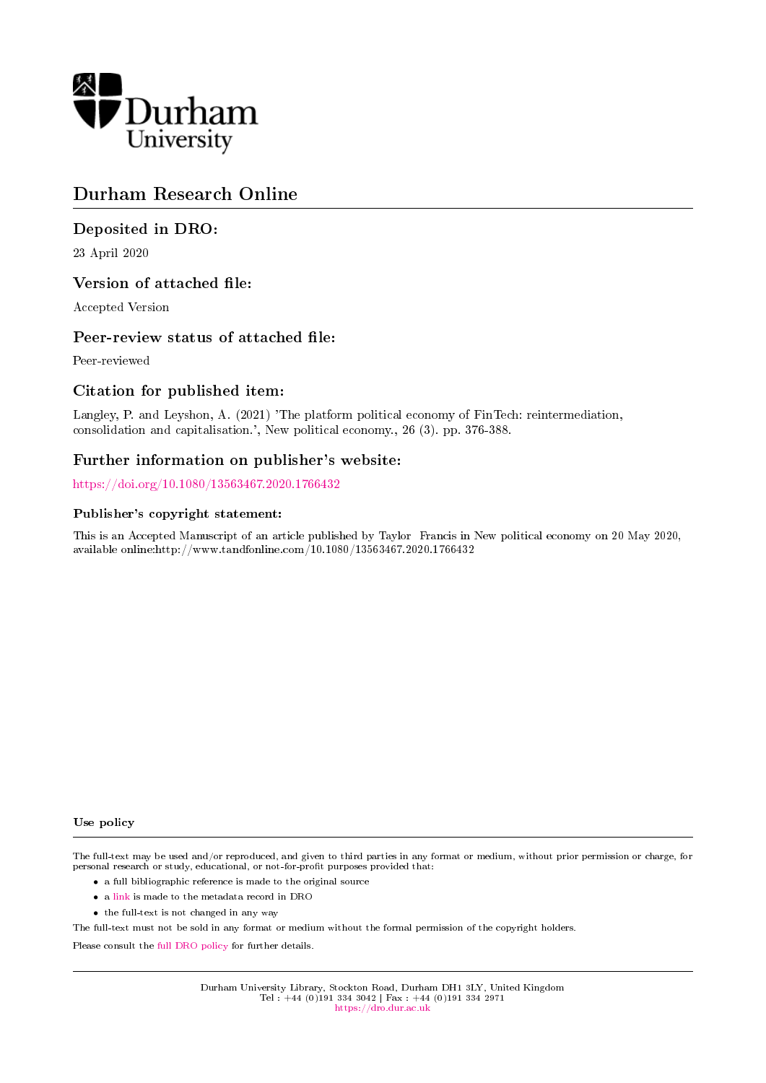

# Durham Research Online

# Deposited in DRO:

23 April 2020

# Version of attached file:

Accepted Version

# Peer-review status of attached file:

Peer-reviewed

# Citation for published item:

Langley, P. and Leyshon, A. (2021) 'The platform political economy of FinTech: reintermediation, consolidation and capitalisation.', New political economy., 26 (3). pp. 376-388.

# Further information on publisher's website:

<https://doi.org/10.1080/13563467.2020.1766432>

#### Publisher's copyright statement:

This is an Accepted Manuscript of an article published by Taylor Francis in New political economy on 20 May 2020, available online:http://www.tandfonline.com/10.1080/13563467.2020.1766432

#### Use policy

The full-text may be used and/or reproduced, and given to third parties in any format or medium, without prior permission or charge, for personal research or study, educational, or not-for-profit purposes provided that:

- a full bibliographic reference is made to the original source
- a [link](http://dro.dur.ac.uk/30673/) is made to the metadata record in DRO
- the full-text is not changed in any way

The full-text must not be sold in any format or medium without the formal permission of the copyright holders.

Please consult the [full DRO policy](https://dro.dur.ac.uk/policies/usepolicy.pdf) for further details.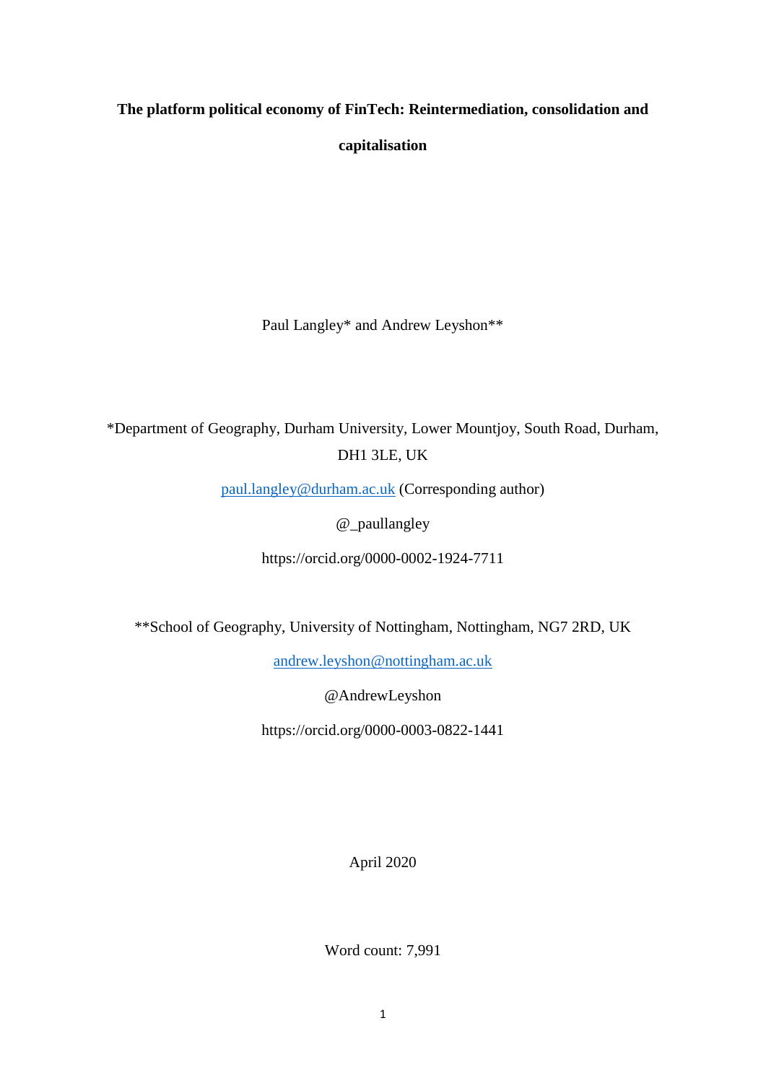# **The platform political economy of FinTech: Reintermediation, consolidation and capitalisation**

Paul Langley\* and Andrew Leyshon\*\*

\*Department of Geography, Durham University, Lower Mountjoy, South Road, Durham, DH1 3LE, UK

[paul.langley@durham.ac.uk](mailto:paul.langley@durham.ac.uk) (Corresponding author)

@\_paullangley

https://orcid.org/0000-0002-1924-7711

\*\*School of Geography, University of Nottingham, Nottingham, NG7 2RD, UK

[andrew.leyshon@nottingham.ac.uk](mailto:andrew.leyshon@nottingham.ac.uk)

@AndrewLeyshon

https://orcid.org/0000-0003-0822-1441

April 2020

Word count: 7,991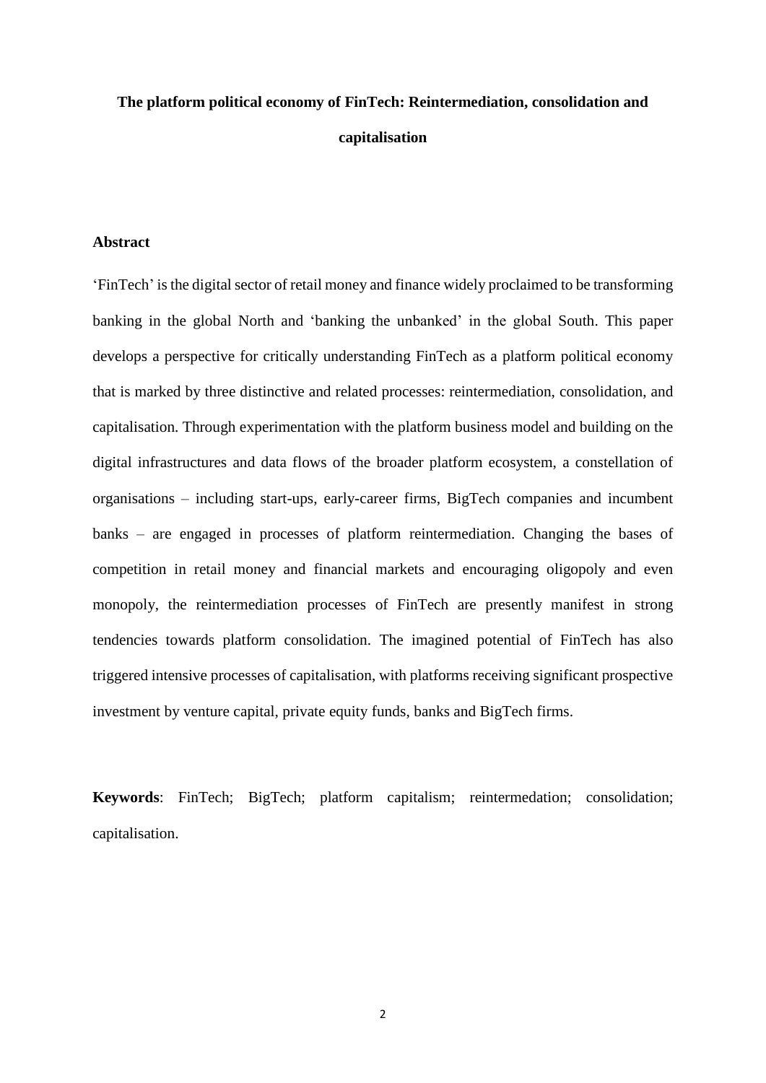# **The platform political economy of FinTech: Reintermediation, consolidation and capitalisation**

#### **Abstract**

'FinTech' is the digital sector of retail money and finance widely proclaimed to be transforming banking in the global North and 'banking the unbanked' in the global South. This paper develops a perspective for critically understanding FinTech as a platform political economy that is marked by three distinctive and related processes: reintermediation, consolidation, and capitalisation. Through experimentation with the platform business model and building on the digital infrastructures and data flows of the broader platform ecosystem, a constellation of organisations – including start-ups, early-career firms, BigTech companies and incumbent banks – are engaged in processes of platform reintermediation. Changing the bases of competition in retail money and financial markets and encouraging oligopoly and even monopoly, the reintermediation processes of FinTech are presently manifest in strong tendencies towards platform consolidation. The imagined potential of FinTech has also triggered intensive processes of capitalisation, with platforms receiving significant prospective investment by venture capital, private equity funds, banks and BigTech firms.

**Keywords**: FinTech; BigTech; platform capitalism; reintermedation; consolidation; capitalisation.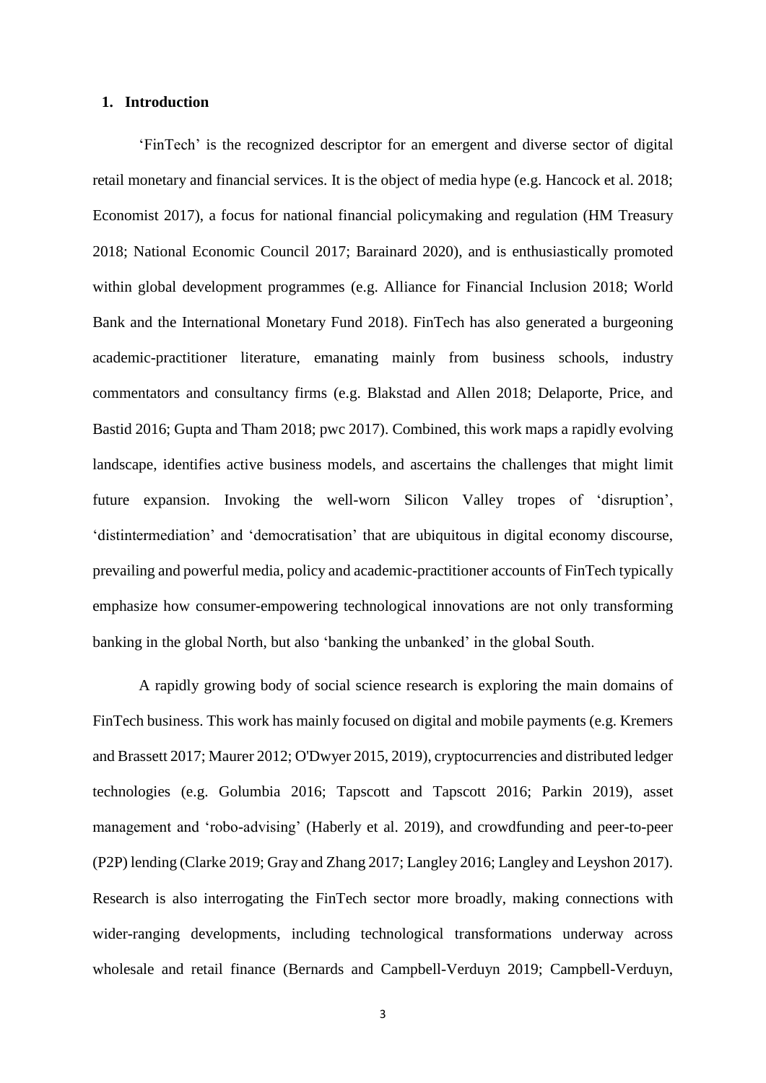#### **1. Introduction**

'FinTech' is the recognized descriptor for an emergent and diverse sector of digital retail monetary and financial services. It is the object of media hype (e.g. Hancock et al. 2018; Economist 2017), a focus for national financial policymaking and regulation (HM Treasury 2018; National Economic Council 2017; Barainard 2020), and is enthusiastically promoted within global development programmes (e.g. Alliance for Financial Inclusion 2018; World Bank and the International Monetary Fund 2018). FinTech has also generated a burgeoning academic-practitioner literature, emanating mainly from business schools, industry commentators and consultancy firms (e.g. Blakstad and Allen 2018; Delaporte, Price, and Bastid 2016; Gupta and Tham 2018; pwc 2017). Combined, this work maps a rapidly evolving landscape, identifies active business models, and ascertains the challenges that might limit future expansion. Invoking the well-worn Silicon Valley tropes of 'disruption', 'distintermediation' and 'democratisation' that are ubiquitous in digital economy discourse, prevailing and powerful media, policy and academic-practitioner accounts of FinTech typically emphasize how consumer-empowering technological innovations are not only transforming banking in the global North, but also 'banking the unbanked' in the global South.

A rapidly growing body of social science research is exploring the main domains of FinTech business. This work has mainly focused on digital and mobile payments (e.g. Kremers and Brassett 2017; Maurer 2012; O'Dwyer 2015, 2019), cryptocurrencies and distributed ledger technologies (e.g. Golumbia 2016; Tapscott and Tapscott 2016; Parkin 2019), asset management and 'robo-advising' (Haberly et al. 2019), and crowdfunding and peer-to-peer (P2P) lending (Clarke 2019; Gray and Zhang 2017; Langley 2016; Langley and Leyshon 2017). Research is also interrogating the FinTech sector more broadly, making connections with wider-ranging developments, including technological transformations underway across wholesale and retail finance (Bernards and Campbell-Verduyn 2019; Campbell-Verduyn,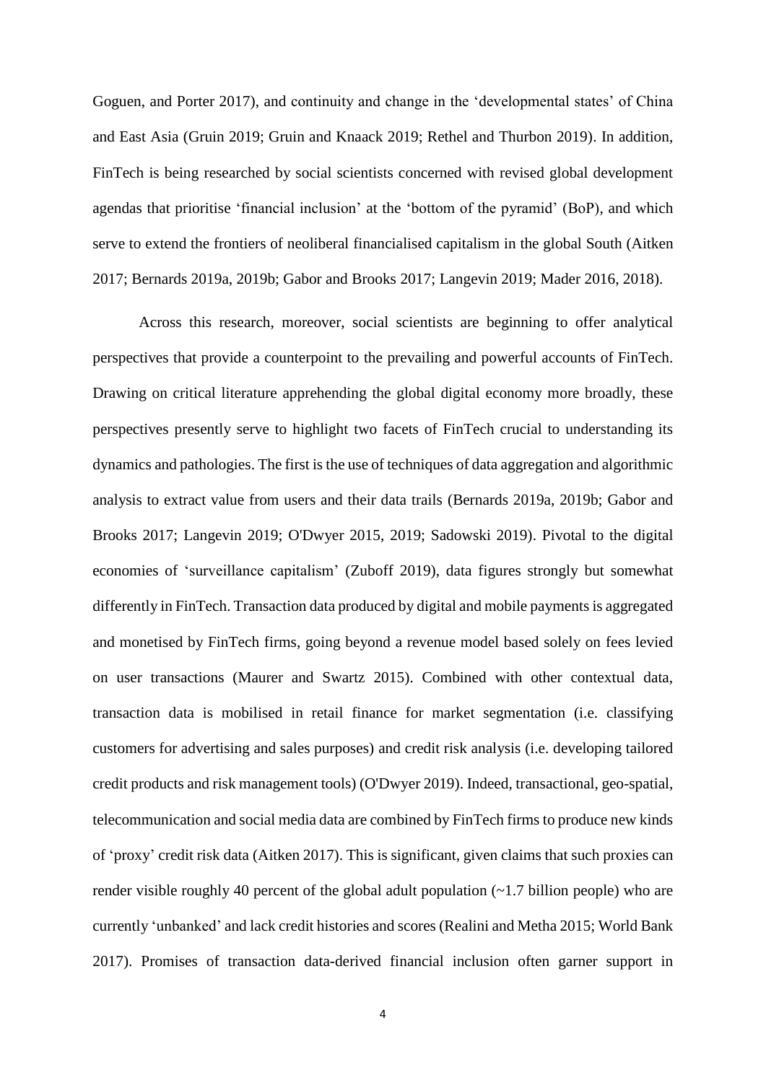Goguen, and Porter 2017), and continuity and change in the 'developmental states' of China and East Asia (Gruin 2019; Gruin and Knaack 2019; Rethel and Thurbon 2019). In addition, FinTech is being researched by social scientists concerned with revised global development agendas that prioritise 'financial inclusion' at the 'bottom of the pyramid' (BoP), and which serve to extend the frontiers of neoliberal financialised capitalism in the global South (Aitken 2017; Bernards 2019a, 2019b; Gabor and Brooks 2017; Langevin 2019; Mader 2016, 2018).

Across this research, moreover, social scientists are beginning to offer analytical perspectives that provide a counterpoint to the prevailing and powerful accounts of FinTech. Drawing on critical literature apprehending the global digital economy more broadly, these perspectives presently serve to highlight two facets of FinTech crucial to understanding its dynamics and pathologies. The first is the use of techniques of data aggregation and algorithmic analysis to extract value from users and their data trails (Bernards 2019a, 2019b; Gabor and Brooks 2017; Langevin 2019; O'Dwyer 2015, 2019; Sadowski 2019). Pivotal to the digital economies of 'surveillance capitalism' (Zuboff 2019), data figures strongly but somewhat differently in FinTech. Transaction data produced by digital and mobile payments is aggregated and monetised by FinTech firms, going beyond a revenue model based solely on fees levied on user transactions (Maurer and Swartz 2015). Combined with other contextual data, transaction data is mobilised in retail finance for market segmentation (i.e. classifying customers for advertising and sales purposes) and credit risk analysis (i.e. developing tailored credit products and risk management tools) (O'Dwyer 2019). Indeed, transactional, geo-spatial, telecommunication and social media data are combined by FinTech firms to produce new kinds of 'proxy' credit risk data (Aitken 2017). This is significant, given claims that such proxies can render visible roughly 40 percent of the global adult population (~1.7 billion people) who are currently 'unbanked' and lack credit histories and scores (Realini and Metha 2015; World Bank 2017). Promises of transaction data-derived financial inclusion often garner support in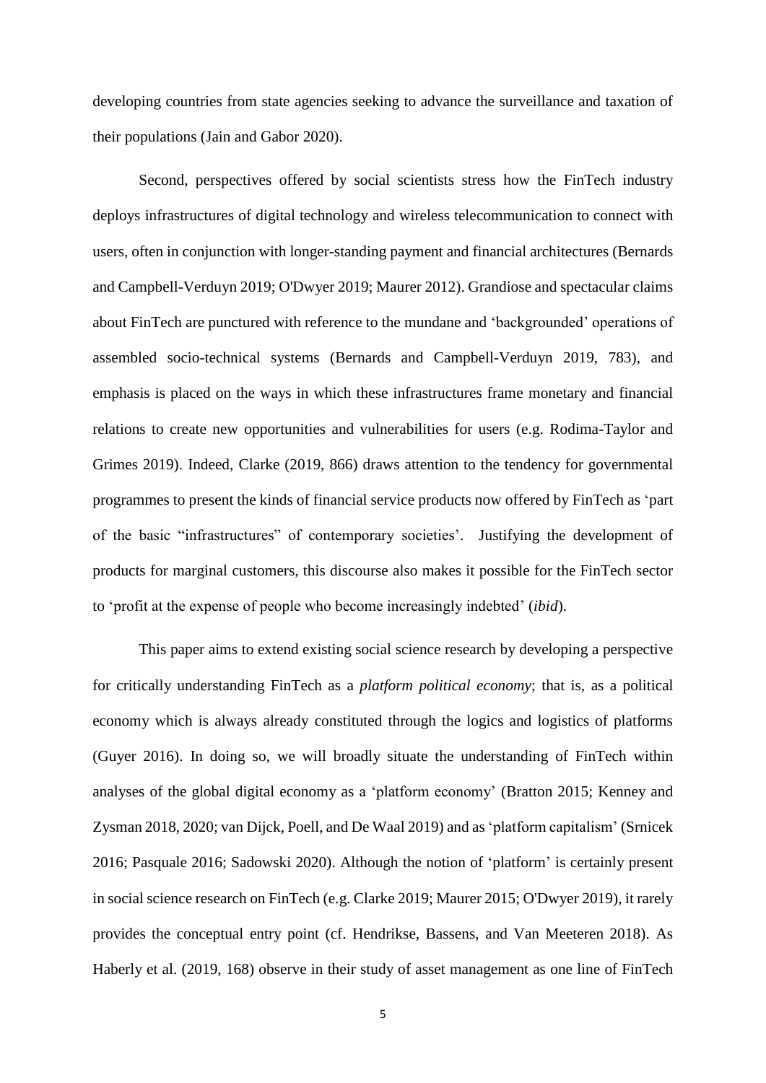developing countries from state agencies seeking to advance the surveillance and taxation of their populations (Jain and Gabor 2020).

Second, perspectives offered by social scientists stress how the FinTech industry deploys infrastructures of digital technology and wireless telecommunication to connect with users, often in conjunction with longer-standing payment and financial architectures (Bernards and Campbell-Verduyn 2019; O'Dwyer 2019; Maurer 2012). Grandiose and spectacular claims about FinTech are punctured with reference to the mundane and 'backgrounded' operations of assembled socio-technical systems (Bernards and Campbell-Verduyn 2019, 783), and emphasis is placed on the ways in which these infrastructures frame monetary and financial relations to create new opportunities and vulnerabilities for users (e.g. Rodima-Taylor and Grimes 2019). Indeed, Clarke (2019, 866) draws attention to the tendency for governmental programmes to present the kinds of financial service products now offered by FinTech as 'part of the basic "infrastructures" of contemporary societies'. Justifying the development of products for marginal customers, this discourse also makes it possible for the FinTech sector to 'profit at the expense of people who become increasingly indebted' (*ibid*).

This paper aims to extend existing social science research by developing a perspective for critically understanding FinTech as a *platform political economy*; that is, as a political economy which is always already constituted through the logics and logistics of platforms (Guyer 2016). In doing so, we will broadly situate the understanding of FinTech within analyses of the global digital economy as a 'platform economy' (Bratton 2015; Kenney and Zysman 2018, 2020; van Dijck, Poell, and De Waal 2019) and as 'platform capitalism' (Srnicek 2016; Pasquale 2016; Sadowski 2020). Although the notion of 'platform' is certainly present in social science research on FinTech (e.g. Clarke 2019; Maurer 2015; O'Dwyer 2019), it rarely provides the conceptual entry point (cf. Hendrikse, Bassens, and Van Meeteren 2018). As Haberly et al. (2019, 168) observe in their study of asset management as one line of FinTech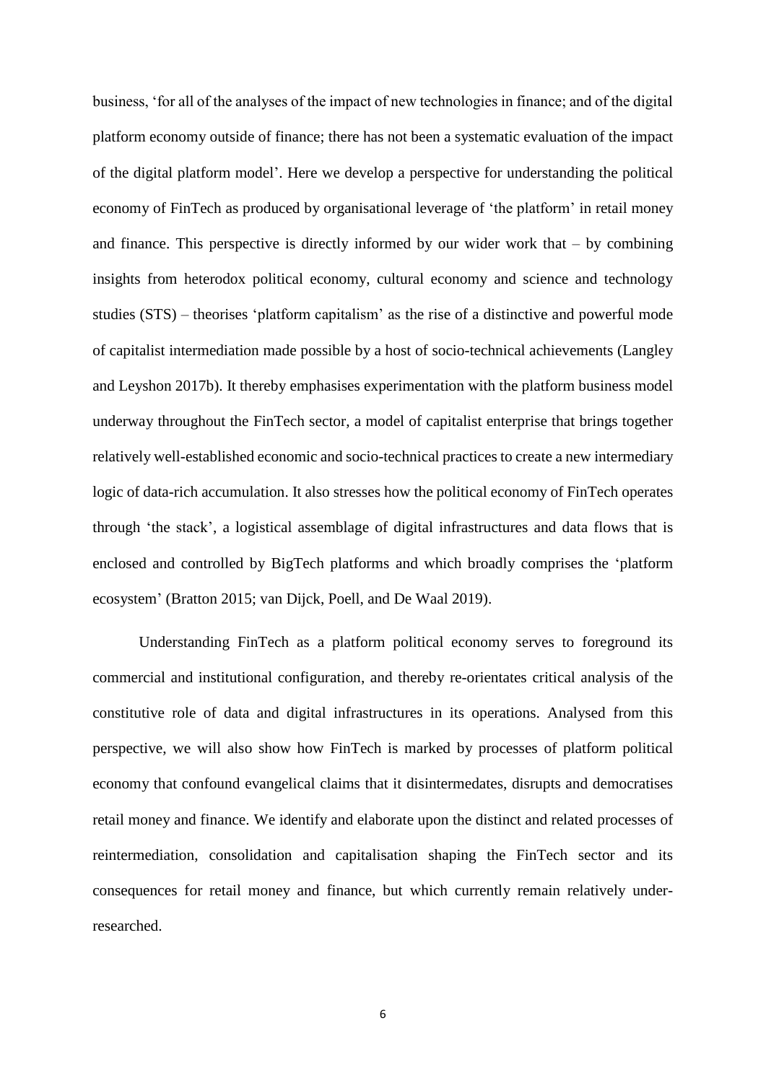business, 'for all of the analyses of the impact of new technologies in finance; and of the digital platform economy outside of finance; there has not been a systematic evaluation of the impact of the digital platform model'. Here we develop a perspective for understanding the political economy of FinTech as produced by organisational leverage of 'the platform' in retail money and finance. This perspective is directly informed by our wider work that  $-$  by combining insights from heterodox political economy, cultural economy and science and technology studies (STS) – theorises 'platform capitalism' as the rise of a distinctive and powerful mode of capitalist intermediation made possible by a host of socio-technical achievements (Langley and Leyshon 2017b). It thereby emphasises experimentation with the platform business model underway throughout the FinTech sector, a model of capitalist enterprise that brings together relatively well-established economic and socio-technical practices to create a new intermediary logic of data-rich accumulation. It also stresses how the political economy of FinTech operates through 'the stack', a logistical assemblage of digital infrastructures and data flows that is enclosed and controlled by BigTech platforms and which broadly comprises the 'platform ecosystem' (Bratton 2015; van Dijck, Poell, and De Waal 2019).

Understanding FinTech as a platform political economy serves to foreground its commercial and institutional configuration, and thereby re-orientates critical analysis of the constitutive role of data and digital infrastructures in its operations. Analysed from this perspective, we will also show how FinTech is marked by processes of platform political economy that confound evangelical claims that it disintermedates, disrupts and democratises retail money and finance. We identify and elaborate upon the distinct and related processes of reintermediation, consolidation and capitalisation shaping the FinTech sector and its consequences for retail money and finance, but which currently remain relatively underresearched.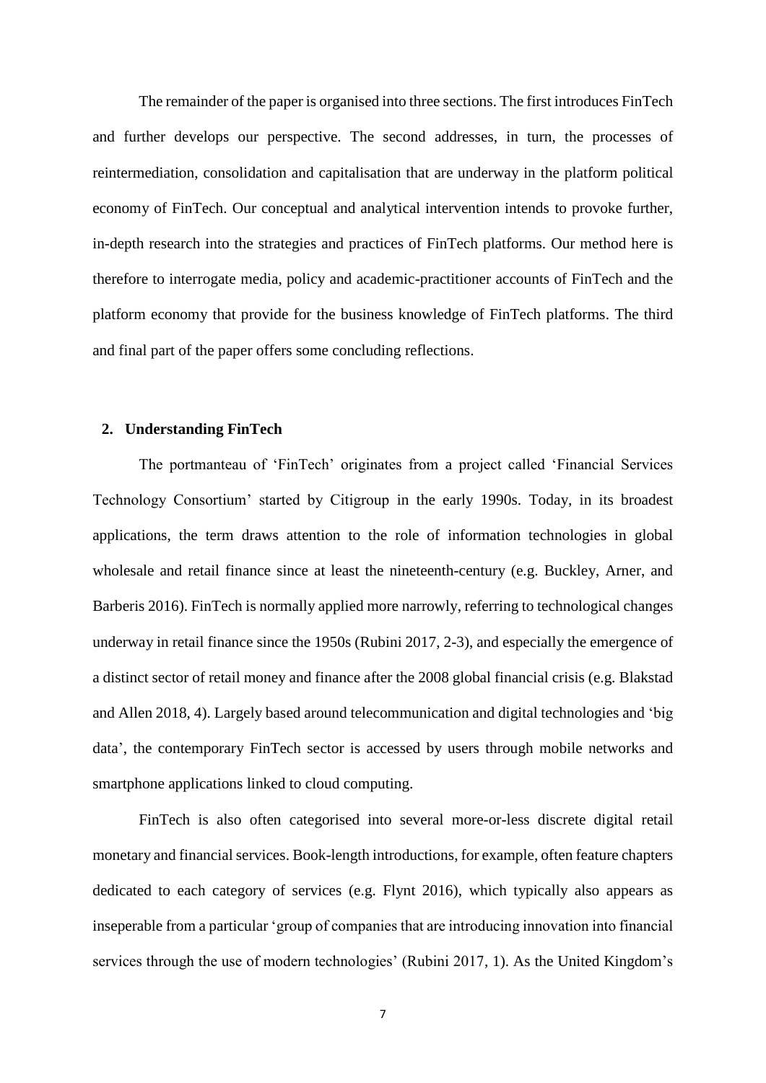The remainder of the paper is organised into three sections. The first introduces FinTech and further develops our perspective. The second addresses, in turn, the processes of reintermediation, consolidation and capitalisation that are underway in the platform political economy of FinTech. Our conceptual and analytical intervention intends to provoke further, in-depth research into the strategies and practices of FinTech platforms. Our method here is therefore to interrogate media, policy and academic-practitioner accounts of FinTech and the platform economy that provide for the business knowledge of FinTech platforms. The third and final part of the paper offers some concluding reflections.

#### **2. Understanding FinTech**

The portmanteau of 'FinTech' originates from a project called 'Financial Services Technology Consortium' started by Citigroup in the early 1990s. Today, in its broadest applications, the term draws attention to the role of information technologies in global wholesale and retail finance since at least the nineteenth-century (e.g. Buckley, Arner, and Barberis 2016). FinTech is normally applied more narrowly, referring to technological changes underway in retail finance since the 1950s (Rubini 2017, 2-3), and especially the emergence of a distinct sector of retail money and finance after the 2008 global financial crisis (e.g. Blakstad and Allen 2018, 4). Largely based around telecommunication and digital technologies and 'big data', the contemporary FinTech sector is accessed by users through mobile networks and smartphone applications linked to cloud computing.

FinTech is also often categorised into several more-or-less discrete digital retail monetary and financial services. Book-length introductions, for example, often feature chapters dedicated to each category of services (e.g. Flynt 2016), which typically also appears as inseperable from a particular 'group of companies that are introducing innovation into financial services through the use of modern technologies' (Rubini 2017, 1). As the United Kingdom's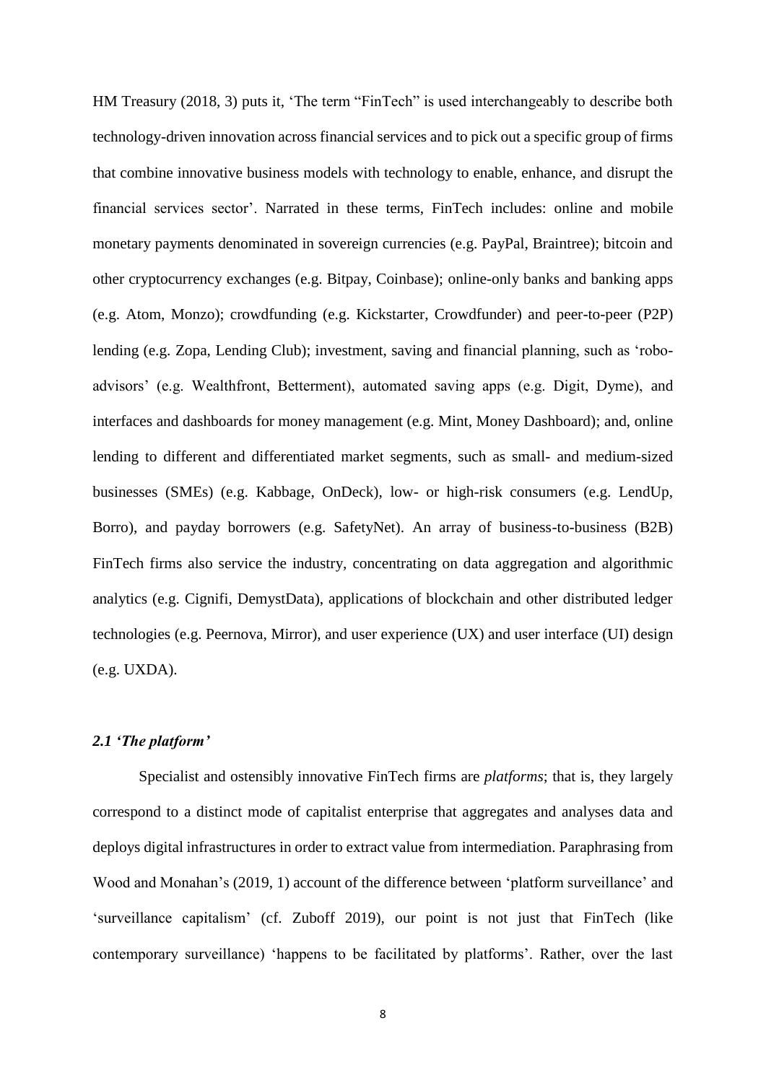HM Treasury (2018, 3) puts it, 'The term "FinTech" is used interchangeably to describe both technology-driven innovation across financial services and to pick out a specific group of firms that combine innovative business models with technology to enable, enhance, and disrupt the financial services sector'. Narrated in these terms, FinTech includes: online and mobile monetary payments denominated in sovereign currencies (e.g. PayPal, Braintree); bitcoin and other cryptocurrency exchanges (e.g. Bitpay, Coinbase); online-only banks and banking apps (e.g. Atom, Monzo); crowdfunding (e.g. Kickstarter, Crowdfunder) and peer-to-peer (P2P) lending (e.g. Zopa, Lending Club); investment, saving and financial planning, such as 'roboadvisors' (e.g. Wealthfront, Betterment), automated saving apps (e.g. Digit, Dyme), and interfaces and dashboards for money management (e.g. Mint, Money Dashboard); and, online lending to different and differentiated market segments, such as small- and medium-sized businesses (SMEs) (e.g. Kabbage, OnDeck), low- or high-risk consumers (e.g. LendUp, Borro), and payday borrowers (e.g. SafetyNet). An array of business-to-business (B2B) FinTech firms also service the industry, concentrating on data aggregation and algorithmic analytics (e.g. Cignifi, DemystData), applications of blockchain and other distributed ledger technologies (e.g. Peernova, Mirror), and user experience (UX) and user interface (UI) design (e.g. UXDA).

## *2.1 'The platform'*

Specialist and ostensibly innovative FinTech firms are *platforms*; that is, they largely correspond to a distinct mode of capitalist enterprise that aggregates and analyses data and deploys digital infrastructures in order to extract value from intermediation. Paraphrasing from Wood and Monahan's (2019, 1) account of the difference between 'platform surveillance' and 'surveillance capitalism' (cf. Zuboff 2019), our point is not just that FinTech (like contemporary surveillance) 'happens to be facilitated by platforms'. Rather, over the last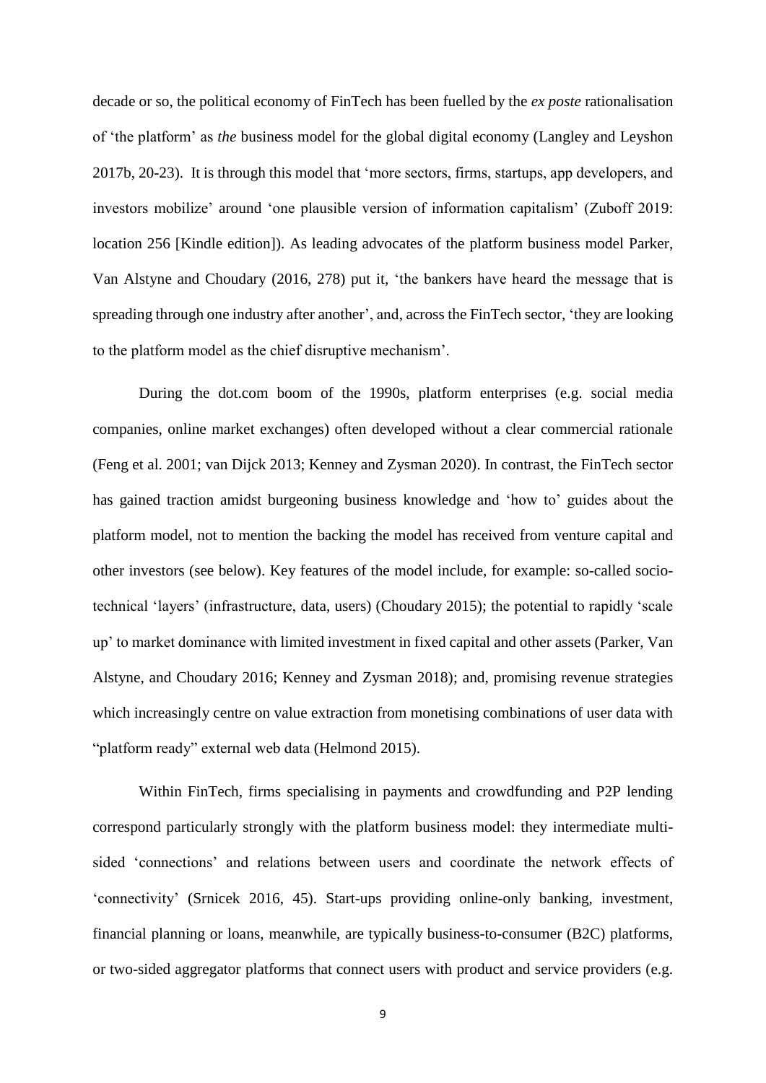decade or so, the political economy of FinTech has been fuelled by the *ex poste* rationalisation of 'the platform' as *the* business model for the global digital economy (Langley and Leyshon 2017b, 20-23). It is through this model that 'more sectors, firms, startups, app developers, and investors mobilize' around 'one plausible version of information capitalism' (Zuboff 2019: location 256 [Kindle edition]). As leading advocates of the platform business model Parker, Van Alstyne and Choudary (2016, 278) put it, 'the bankers have heard the message that is spreading through one industry after another', and, across the FinTech sector, 'they are looking to the platform model as the chief disruptive mechanism'.

During the dot.com boom of the 1990s, platform enterprises (e.g. social media companies, online market exchanges) often developed without a clear commercial rationale (Feng et al. 2001; van Dijck 2013; Kenney and Zysman 2020). In contrast, the FinTech sector has gained traction amidst burgeoning business knowledge and 'how to' guides about the platform model, not to mention the backing the model has received from venture capital and other investors (see below). Key features of the model include, for example: so-called sociotechnical 'layers' (infrastructure, data, users) (Choudary 2015); the potential to rapidly 'scale up' to market dominance with limited investment in fixed capital and other assets (Parker, Van Alstyne, and Choudary 2016; Kenney and Zysman 2018); and, promising revenue strategies which increasingly centre on value extraction from monetising combinations of user data with "platform ready" external web data (Helmond 2015).

Within FinTech, firms specialising in payments and crowdfunding and P2P lending correspond particularly strongly with the platform business model: they intermediate multisided 'connections' and relations between users and coordinate the network effects of 'connectivity' (Srnicek 2016, 45). Start-ups providing online-only banking, investment, financial planning or loans, meanwhile, are typically business-to-consumer (B2C) platforms, or two-sided aggregator platforms that connect users with product and service providers (e.g.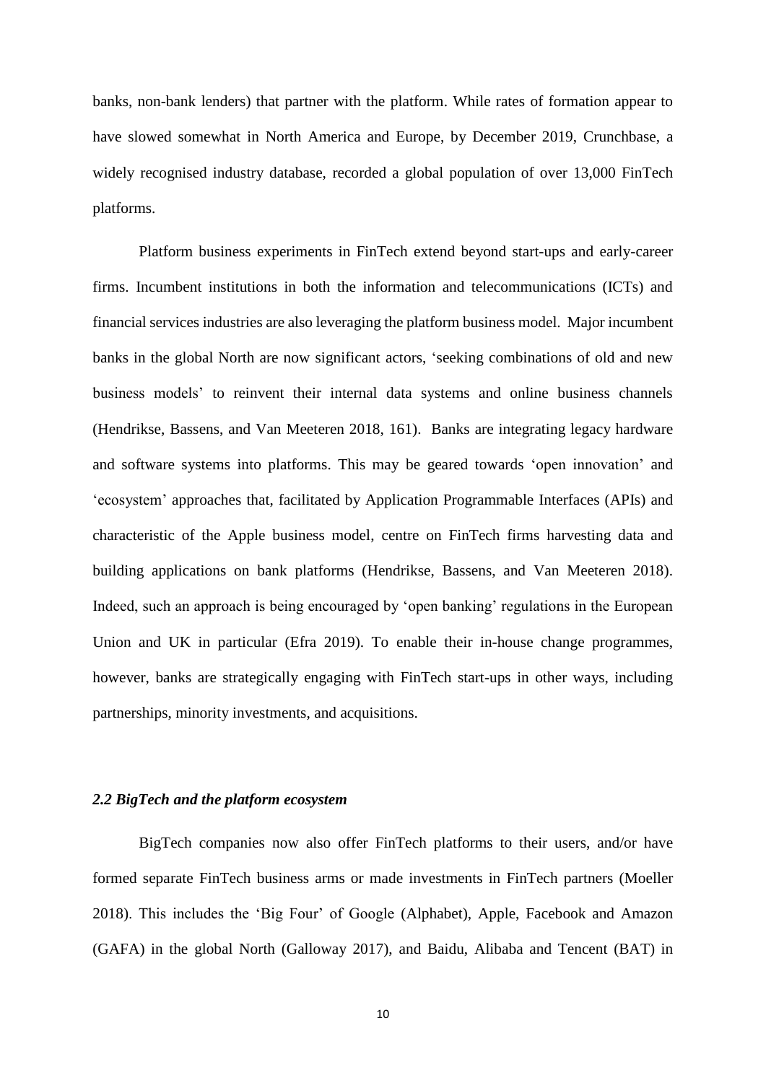banks, non-bank lenders) that partner with the platform. While rates of formation appear to have slowed somewhat in North America and Europe, by December 2019, Crunchbase, a widely recognised industry database, recorded a global population of over 13,000 FinTech platforms.

Platform business experiments in FinTech extend beyond start-ups and early-career firms. Incumbent institutions in both the information and telecommunications (ICTs) and financial services industries are also leveraging the platform business model. Major incumbent banks in the global North are now significant actors, 'seeking combinations of old and new business models' to reinvent their internal data systems and online business channels (Hendrikse, Bassens, and Van Meeteren 2018, 161). Banks are integrating legacy hardware and software systems into platforms. This may be geared towards 'open innovation' and 'ecosystem' approaches that, facilitated by Application Programmable Interfaces (APIs) and characteristic of the Apple business model, centre on FinTech firms harvesting data and building applications on bank platforms (Hendrikse, Bassens, and Van Meeteren 2018). Indeed, such an approach is being encouraged by 'open banking' regulations in the European Union and UK in particular (Efra 2019). To enable their in-house change programmes, however, banks are strategically engaging with FinTech start-ups in other ways, including partnerships, minority investments, and acquisitions.

### *2.2 BigTech and the platform ecosystem*

BigTech companies now also offer FinTech platforms to their users, and/or have formed separate FinTech business arms or made investments in FinTech partners (Moeller 2018). This includes the 'Big Four' of Google (Alphabet), Apple, Facebook and Amazon (GAFA) in the global North (Galloway 2017), and Baidu, Alibaba and Tencent (BAT) in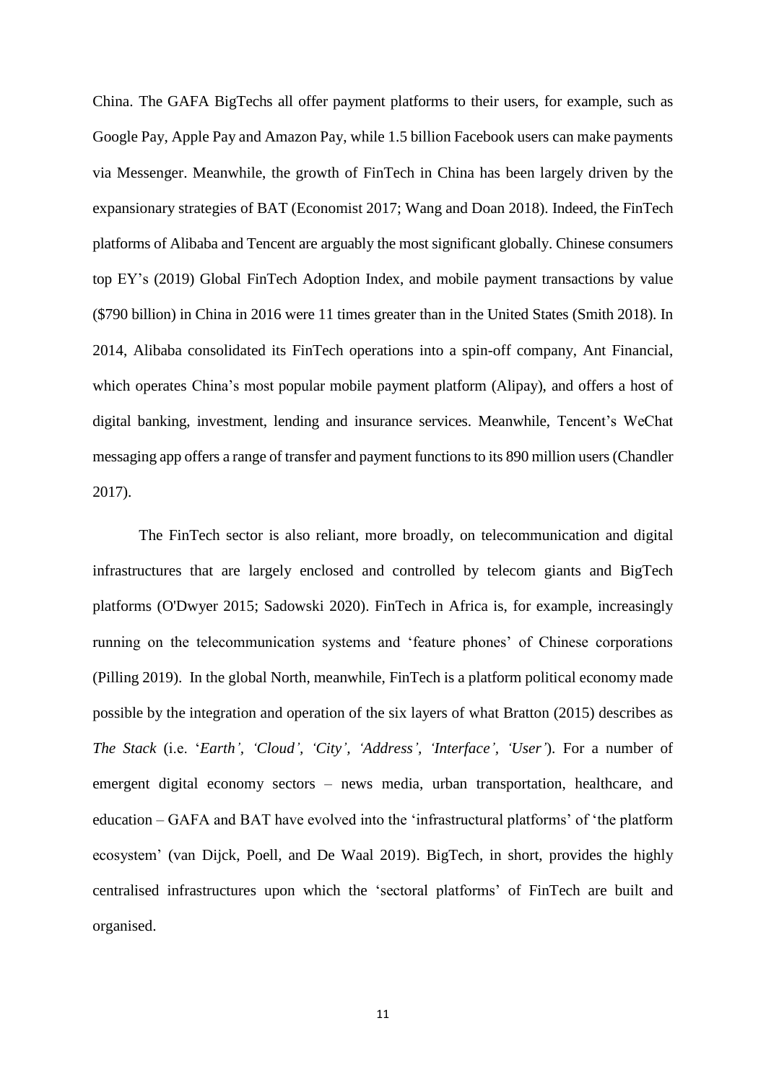China. The GAFA BigTechs all offer payment platforms to their users, for example, such as Google Pay, Apple Pay and Amazon Pay, while 1.5 billion Facebook users can make payments via Messenger. Meanwhile, the growth of FinTech in China has been largely driven by the expansionary strategies of BAT (Economist 2017; Wang and Doan 2018). Indeed, the FinTech platforms of Alibaba and Tencent are arguably the most significant globally. Chinese consumers top EY's (2019) Global FinTech Adoption Index, and mobile payment transactions by value (\$790 billion) in China in 2016 were 11 times greater than in the United States (Smith 2018). In 2014, Alibaba consolidated its FinTech operations into a spin-off company, Ant Financial, which operates China's most popular mobile payment platform (Alipay), and offers a host of digital banking, investment, lending and insurance services. Meanwhile, Tencent's WeChat messaging app offers a range of transfer and payment functions to its 890 million users (Chandler 2017).

The FinTech sector is also reliant, more broadly, on telecommunication and digital infrastructures that are largely enclosed and controlled by telecom giants and BigTech platforms (O'Dwyer 2015; Sadowski 2020). FinTech in Africa is, for example, increasingly running on the telecommunication systems and 'feature phones' of Chinese corporations (Pilling 2019). In the global North, meanwhile, FinTech is a platform political economy made possible by the integration and operation of the six layers of what Bratton (2015) describes as *The Stack* (i.e. '*Earth', 'Cloud', 'City', 'Address', 'Interface', 'User'*). For a number of emergent digital economy sectors – news media, urban transportation, healthcare, and education – GAFA and BAT have evolved into the 'infrastructural platforms' of 'the platform ecosystem' (van Dijck, Poell, and De Waal 2019). BigTech, in short, provides the highly centralised infrastructures upon which the 'sectoral platforms' of FinTech are built and organised.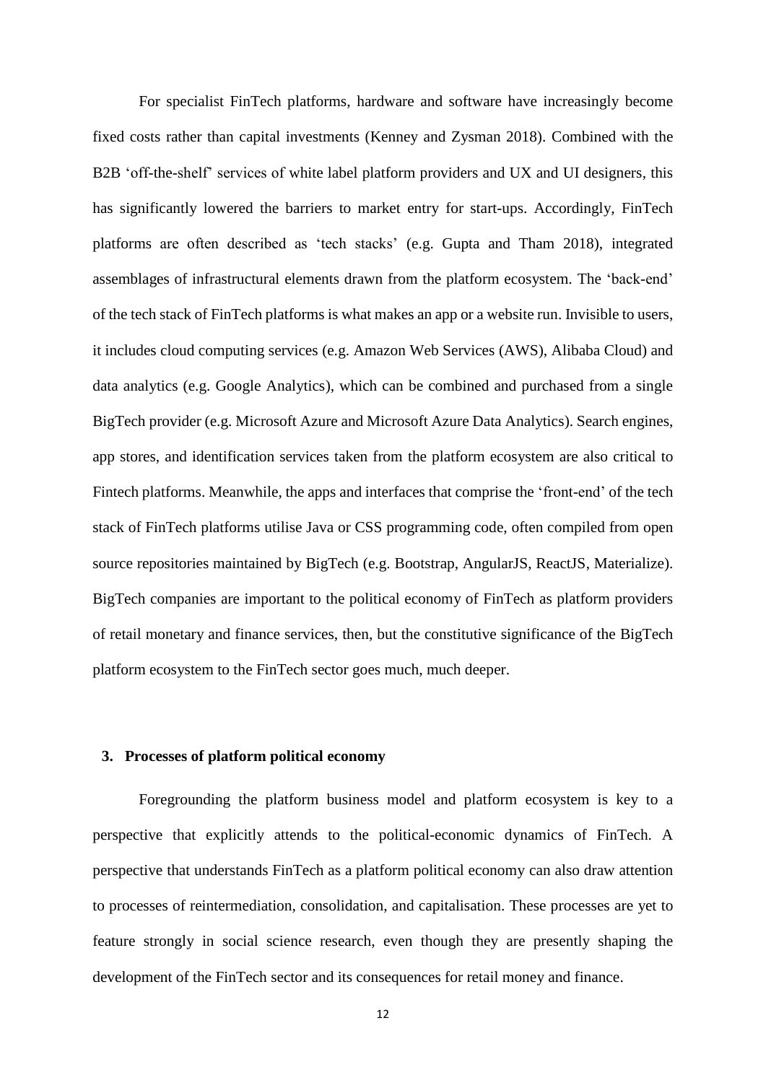For specialist FinTech platforms, hardware and software have increasingly become fixed costs rather than capital investments (Kenney and Zysman 2018). Combined with the B2B 'off-the-shelf' services of white label platform providers and UX and UI designers, this has significantly lowered the barriers to market entry for start-ups. Accordingly, FinTech platforms are often described as 'tech stacks' (e.g. Gupta and Tham 2018), integrated assemblages of infrastructural elements drawn from the platform ecosystem. The 'back-end' of the tech stack of FinTech platforms is what makes an app or a website run. Invisible to users, it includes cloud computing services (e.g. Amazon Web Services (AWS), Alibaba Cloud) and data analytics (e.g. Google Analytics), which can be combined and purchased from a single BigTech provider (e.g. Microsoft Azure and Microsoft Azure Data Analytics). Search engines, app stores, and identification services taken from the platform ecosystem are also critical to Fintech platforms. Meanwhile, the apps and interfaces that comprise the 'front-end' of the tech stack of FinTech platforms utilise Java or CSS programming code, often compiled from open source repositories maintained by BigTech (e.g. Bootstrap, AngularJS, ReactJS, Materialize). BigTech companies are important to the political economy of FinTech as platform providers of retail monetary and finance services, then, but the constitutive significance of the BigTech platform ecosystem to the FinTech sector goes much, much deeper.

#### **3. Processes of platform political economy**

Foregrounding the platform business model and platform ecosystem is key to a perspective that explicitly attends to the political-economic dynamics of FinTech. A perspective that understands FinTech as a platform political economy can also draw attention to processes of reintermediation, consolidation, and capitalisation. These processes are yet to feature strongly in social science research, even though they are presently shaping the development of the FinTech sector and its consequences for retail money and finance.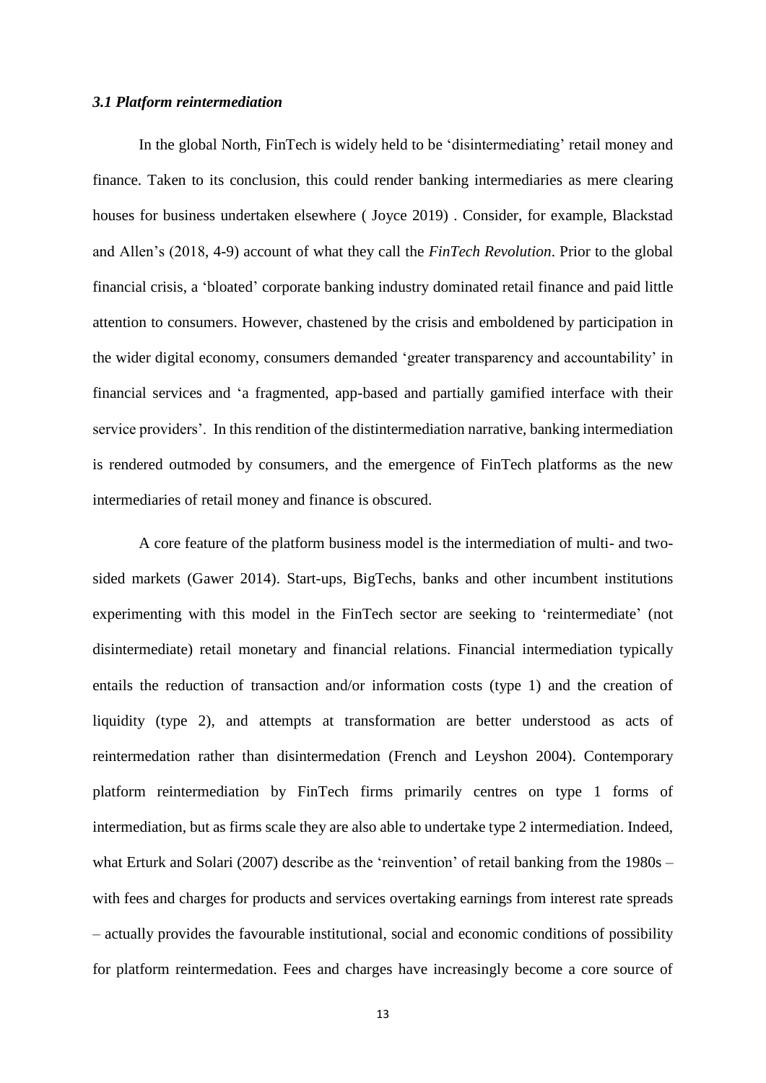#### *3.1 Platform reintermediation*

In the global North, FinTech is widely held to be 'disintermediating' retail money and finance. Taken to its conclusion, this could render banking intermediaries as mere clearing houses for business undertaken elsewhere ( Joyce 2019) . Consider, for example, Blackstad and Allen's (2018, 4-9) account of what they call the *FinTech Revolution*. Prior to the global financial crisis, a 'bloated' corporate banking industry dominated retail finance and paid little attention to consumers. However, chastened by the crisis and emboldened by participation in the wider digital economy, consumers demanded 'greater transparency and accountability' in financial services and 'a fragmented, app-based and partially gamified interface with their service providers'. In this rendition of the distintermediation narrative, banking intermediation is rendered outmoded by consumers, and the emergence of FinTech platforms as the new intermediaries of retail money and finance is obscured.

A core feature of the platform business model is the intermediation of multi- and twosided markets (Gawer 2014). Start-ups, BigTechs, banks and other incumbent institutions experimenting with this model in the FinTech sector are seeking to 'reintermediate' (not disintermediate) retail monetary and financial relations. Financial intermediation typically entails the reduction of transaction and/or information costs (type 1) and the creation of liquidity (type 2), and attempts at transformation are better understood as acts of reintermedation rather than disintermedation (French and Leyshon 2004). Contemporary platform reintermediation by FinTech firms primarily centres on type 1 forms of intermediation, but as firms scale they are also able to undertake type 2 intermediation. Indeed, what Erturk and Solari (2007) describe as the 'reinvention' of retail banking from the 1980s – with fees and charges for products and services overtaking earnings from interest rate spreads – actually provides the favourable institutional, social and economic conditions of possibility for platform reintermedation. Fees and charges have increasingly become a core source of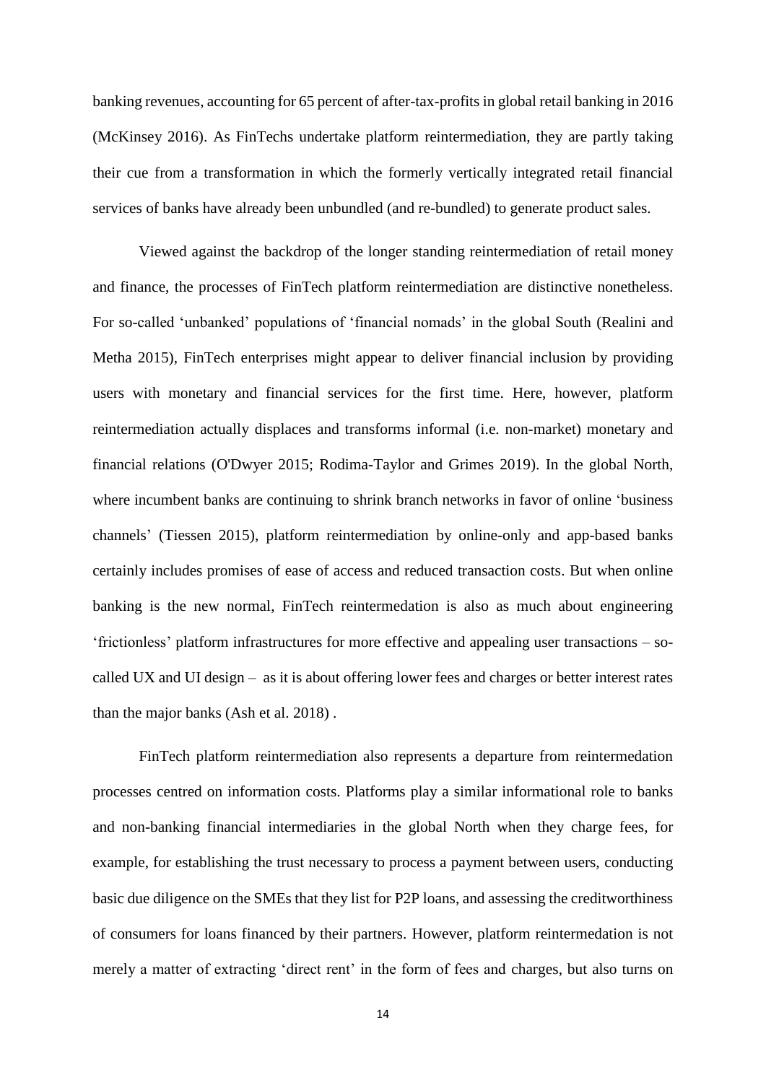banking revenues, accounting for 65 percent of after-tax-profits in global retail banking in 2016 (McKinsey 2016). As FinTechs undertake platform reintermediation, they are partly taking their cue from a transformation in which the formerly vertically integrated retail financial services of banks have already been unbundled (and re-bundled) to generate product sales.

Viewed against the backdrop of the longer standing reintermediation of retail money and finance, the processes of FinTech platform reintermediation are distinctive nonetheless. For so-called 'unbanked' populations of 'financial nomads' in the global South (Realini and Metha 2015), FinTech enterprises might appear to deliver financial inclusion by providing users with monetary and financial services for the first time. Here, however, platform reintermediation actually displaces and transforms informal (i.e. non-market) monetary and financial relations (O'Dwyer 2015; Rodima-Taylor and Grimes 2019). In the global North, where incumbent banks are continuing to shrink branch networks in favor of online 'business channels' (Tiessen 2015), platform reintermediation by online-only and app-based banks certainly includes promises of ease of access and reduced transaction costs. But when online banking is the new normal, FinTech reintermedation is also as much about engineering 'frictionless' platform infrastructures for more effective and appealing user transactions – socalled UX and UI design – as it is about offering lower fees and charges or better interest rates than the major banks (Ash et al. 2018) .

FinTech platform reintermediation also represents a departure from reintermedation processes centred on information costs. Platforms play a similar informational role to banks and non-banking financial intermediaries in the global North when they charge fees, for example, for establishing the trust necessary to process a payment between users, conducting basic due diligence on the SMEs that they list for P2P loans, and assessing the creditworthiness of consumers for loans financed by their partners. However, platform reintermedation is not merely a matter of extracting 'direct rent' in the form of fees and charges, but also turns on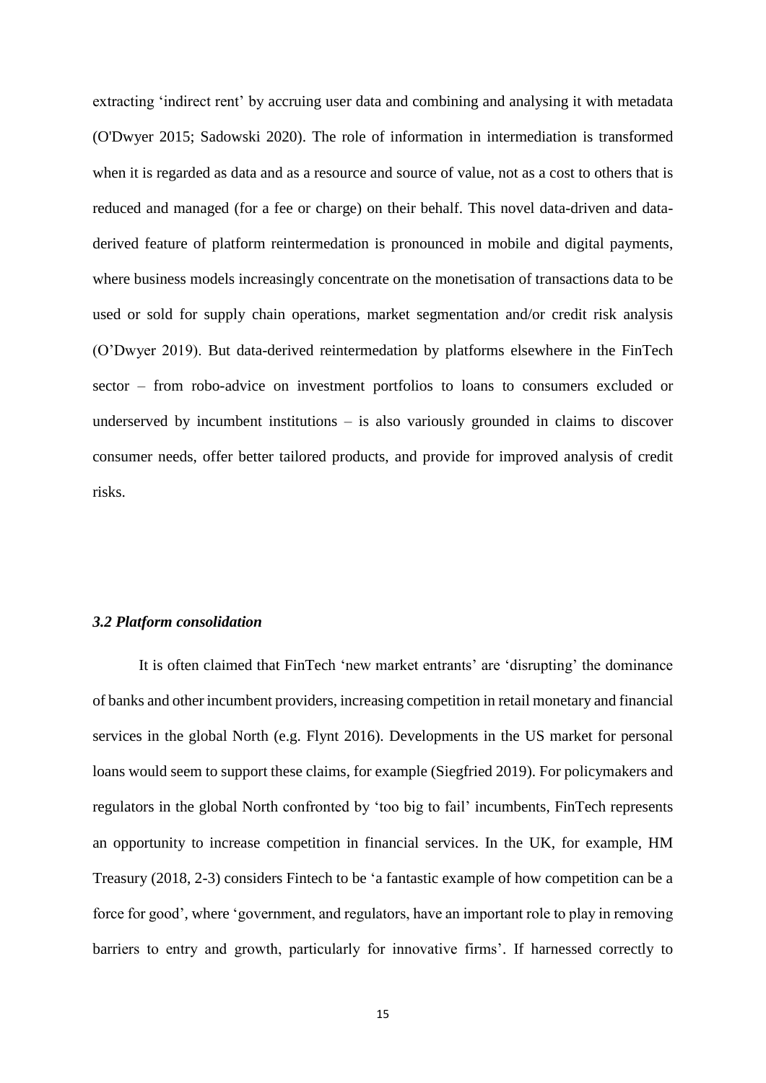extracting 'indirect rent' by accruing user data and combining and analysing it with metadata (O'Dwyer 2015; Sadowski 2020). The role of information in intermediation is transformed when it is regarded as data and as a resource and source of value, not as a cost to others that is reduced and managed (for a fee or charge) on their behalf. This novel data-driven and dataderived feature of platform reintermedation is pronounced in mobile and digital payments, where business models increasingly concentrate on the monetisation of transactions data to be used or sold for supply chain operations, market segmentation and/or credit risk analysis (O'Dwyer 2019). But data-derived reintermedation by platforms elsewhere in the FinTech sector – from robo-advice on investment portfolios to loans to consumers excluded or underserved by incumbent institutions – is also variously grounded in claims to discover consumer needs, offer better tailored products, and provide for improved analysis of credit risks.

#### *3.2 Platform consolidation*

It is often claimed that FinTech 'new market entrants' are 'disrupting' the dominance of banks and other incumbent providers, increasing competition in retail monetary and financial services in the global North (e.g. Flynt 2016). Developments in the US market for personal loans would seem to support these claims, for example (Siegfried 2019). For policymakers and regulators in the global North confronted by 'too big to fail' incumbents, FinTech represents an opportunity to increase competition in financial services. In the UK, for example, HM Treasury (2018, 2-3) considers Fintech to be 'a fantastic example of how competition can be a force for good', where 'government, and regulators, have an important role to play in removing barriers to entry and growth, particularly for innovative firms'. If harnessed correctly to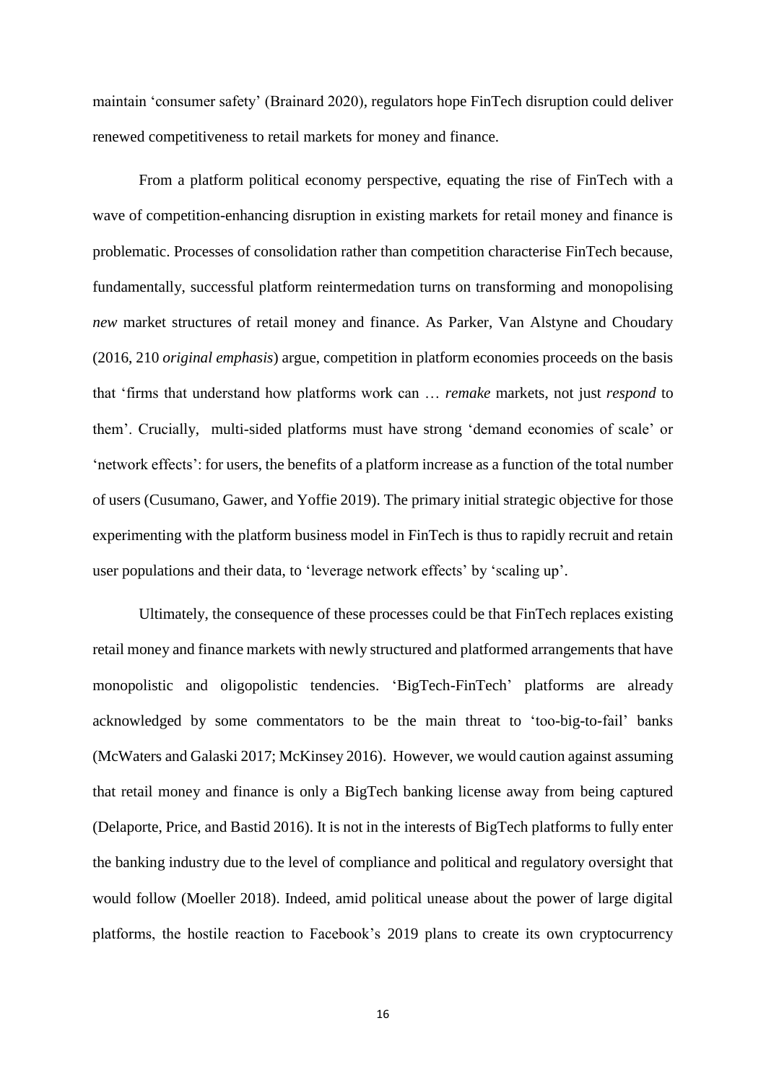maintain 'consumer safety' (Brainard 2020), regulators hope FinTech disruption could deliver renewed competitiveness to retail markets for money and finance.

From a platform political economy perspective, equating the rise of FinTech with a wave of competition-enhancing disruption in existing markets for retail money and finance is problematic. Processes of consolidation rather than competition characterise FinTech because, fundamentally, successful platform reintermedation turns on transforming and monopolising *new* market structures of retail money and finance. As Parker, Van Alstyne and Choudary (2016, 210 *original emphasis*) argue, competition in platform economies proceeds on the basis that 'firms that understand how platforms work can … *remake* markets, not just *respond* to them'. Crucially, multi-sided platforms must have strong 'demand economies of scale' or 'network effects': for users, the benefits of a platform increase as a function of the total number of users (Cusumano, Gawer, and Yoffie 2019). The primary initial strategic objective for those experimenting with the platform business model in FinTech is thus to rapidly recruit and retain user populations and their data, to 'leverage network effects' by 'scaling up'.

Ultimately, the consequence of these processes could be that FinTech replaces existing retail money and finance markets with newly structured and platformed arrangements that have monopolistic and oligopolistic tendencies. 'BigTech-FinTech' platforms are already acknowledged by some commentators to be the main threat to 'too-big-to-fail' banks (McWaters and Galaski 2017; McKinsey 2016). However, we would caution against assuming that retail money and finance is only a BigTech banking license away from being captured (Delaporte, Price, and Bastid 2016). It is not in the interests of BigTech platforms to fully enter the banking industry due to the level of compliance and political and regulatory oversight that would follow (Moeller 2018). Indeed, amid political unease about the power of large digital platforms, the hostile reaction to Facebook's 2019 plans to create its own cryptocurrency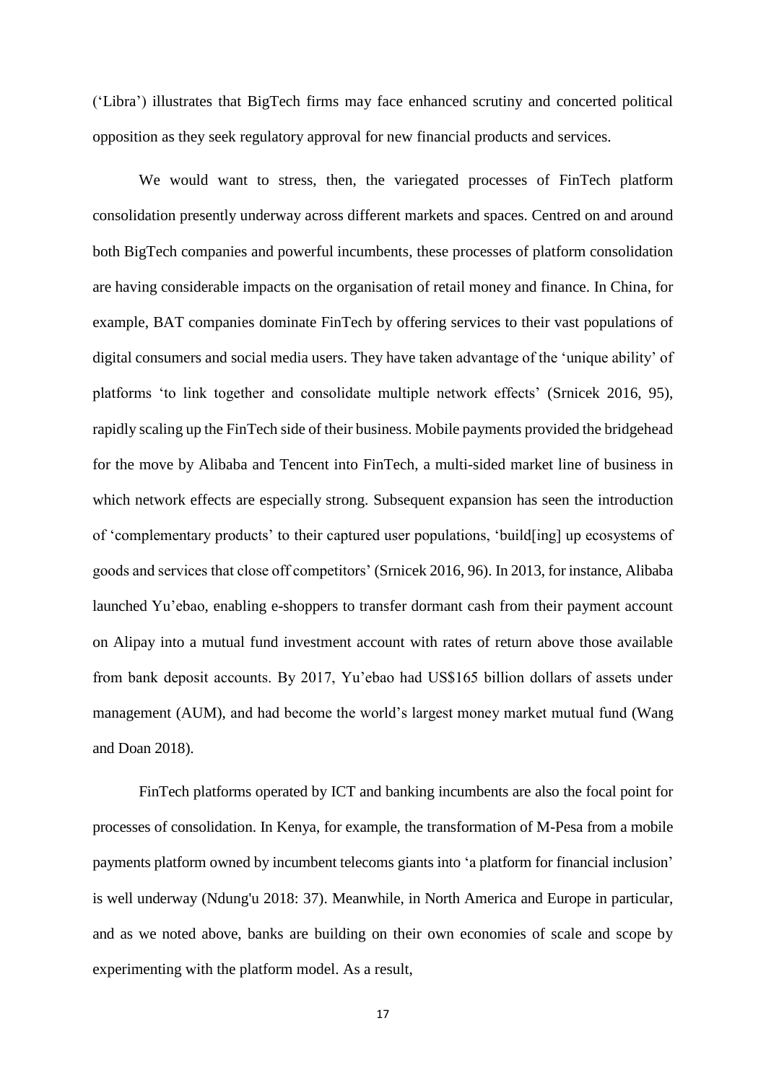('Libra') illustrates that BigTech firms may face enhanced scrutiny and concerted political opposition as they seek regulatory approval for new financial products and services.

We would want to stress, then, the variegated processes of FinTech platform consolidation presently underway across different markets and spaces. Centred on and around both BigTech companies and powerful incumbents, these processes of platform consolidation are having considerable impacts on the organisation of retail money and finance. In China, for example, BAT companies dominate FinTech by offering services to their vast populations of digital consumers and social media users. They have taken advantage of the 'unique ability' of platforms 'to link together and consolidate multiple network effects' (Srnicek 2016, 95), rapidly scaling up the FinTech side of their business. Mobile payments provided the bridgehead for the move by Alibaba and Tencent into FinTech, a multi-sided market line of business in which network effects are especially strong. Subsequent expansion has seen the introduction of 'complementary products' to their captured user populations, 'build[ing] up ecosystems of goods and services that close off competitors' (Srnicek 2016, 96). In 2013, for instance, Alibaba launched Yu'ebao, enabling e-shoppers to transfer dormant cash from their payment account on Alipay into a mutual fund investment account with rates of return above those available from bank deposit accounts. By 2017, Yu'ebao had US\$165 billion dollars of assets under management (AUM), and had become the world's largest money market mutual fund (Wang and Doan 2018).

FinTech platforms operated by ICT and banking incumbents are also the focal point for processes of consolidation. In Kenya, for example, the transformation of M-Pesa from a mobile payments platform owned by incumbent telecoms giants into 'a platform for financial inclusion' is well underway (Ndung'u 2018: 37). Meanwhile, in North America and Europe in particular, and as we noted above, banks are building on their own economies of scale and scope by experimenting with the platform model. As a result,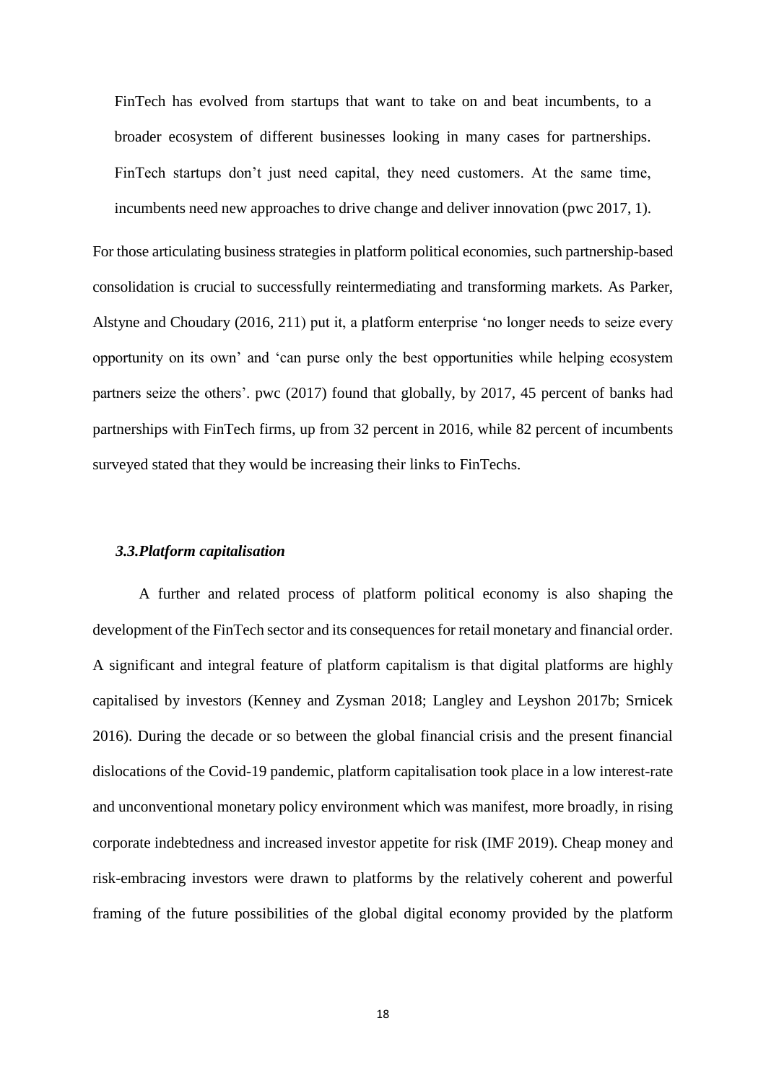FinTech has evolved from startups that want to take on and beat incumbents, to a broader ecosystem of different businesses looking in many cases for partnerships. FinTech startups don't just need capital, they need customers. At the same time, incumbents need new approaches to drive change and deliver innovation (pwc 2017, 1).

For those articulating business strategies in platform political economies, such partnership-based consolidation is crucial to successfully reintermediating and transforming markets. As Parker, Alstyne and Choudary (2016, 211) put it, a platform enterprise 'no longer needs to seize every opportunity on its own' and 'can purse only the best opportunities while helping ecosystem partners seize the others'. pwc (2017) found that globally, by 2017, 45 percent of banks had partnerships with FinTech firms, up from 32 percent in 2016, while 82 percent of incumbents surveyed stated that they would be increasing their links to FinTechs.

#### *3.3.Platform capitalisation*

A further and related process of platform political economy is also shaping the development of the FinTech sector and its consequences for retail monetary and financial order. A significant and integral feature of platform capitalism is that digital platforms are highly capitalised by investors (Kenney and Zysman 2018; Langley and Leyshon 2017b; Srnicek 2016). During the decade or so between the global financial crisis and the present financial dislocations of the Covid-19 pandemic, platform capitalisation took place in a low interest-rate and unconventional monetary policy environment which was manifest, more broadly, in rising corporate indebtedness and increased investor appetite for risk (IMF 2019). Cheap money and risk-embracing investors were drawn to platforms by the relatively coherent and powerful framing of the future possibilities of the global digital economy provided by the platform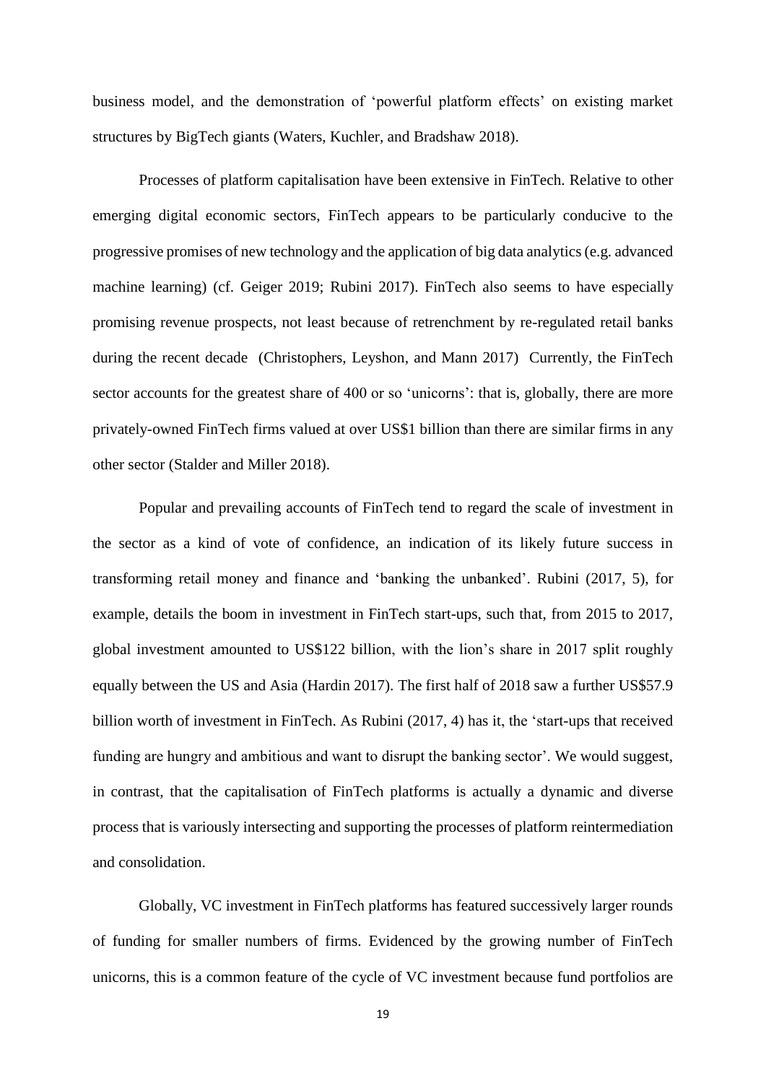business model, and the demonstration of 'powerful platform effects' on existing market structures by BigTech giants (Waters, Kuchler, and Bradshaw 2018).

Processes of platform capitalisation have been extensive in FinTech. Relative to other emerging digital economic sectors, FinTech appears to be particularly conducive to the progressive promises of new technology and the application of big data analytics (e.g. advanced machine learning) (cf. Geiger 2019; Rubini 2017). FinTech also seems to have especially promising revenue prospects, not least because of retrenchment by re-regulated retail banks during the recent decade (Christophers, Leyshon, and Mann 2017) Currently, the FinTech sector accounts for the greatest share of 400 or so 'unicorns': that is, globally, there are more privately-owned FinTech firms valued at over US\$1 billion than there are similar firms in any other sector (Stalder and Miller 2018).

Popular and prevailing accounts of FinTech tend to regard the scale of investment in the sector as a kind of vote of confidence, an indication of its likely future success in transforming retail money and finance and 'banking the unbanked'. Rubini (2017, 5), for example, details the boom in investment in FinTech start-ups, such that, from 2015 to 2017, global investment amounted to US\$122 billion, with the lion's share in 2017 split roughly equally between the US and Asia (Hardin 2017). The first half of 2018 saw a further US\$57.9 billion worth of investment in FinTech. As Rubini (2017, 4) has it, the 'start-ups that received funding are hungry and ambitious and want to disrupt the banking sector'. We would suggest, in contrast, that the capitalisation of FinTech platforms is actually a dynamic and diverse process that is variously intersecting and supporting the processes of platform reintermediation and consolidation.

Globally, VC investment in FinTech platforms has featured successively larger rounds of funding for smaller numbers of firms. Evidenced by the growing number of FinTech unicorns, this is a common feature of the cycle of VC investment because fund portfolios are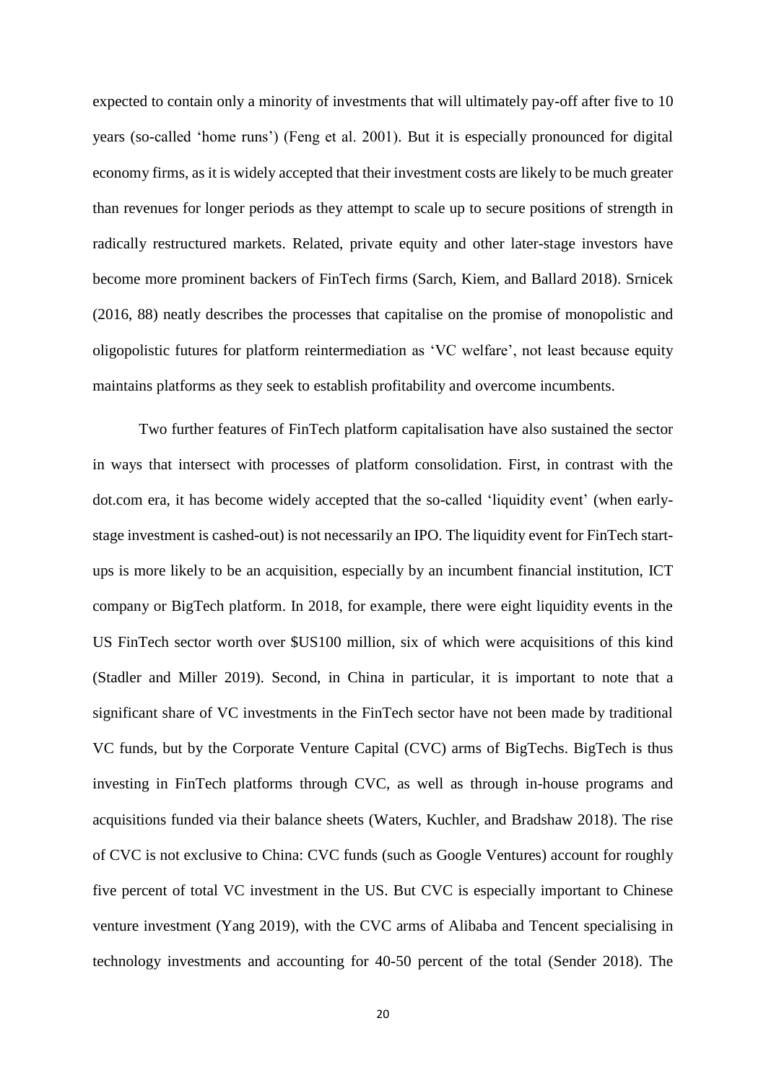expected to contain only a minority of investments that will ultimately pay-off after five to 10 years (so-called 'home runs') (Feng et al. 2001). But it is especially pronounced for digital economy firms, as it is widely accepted that their investment costs are likely to be much greater than revenues for longer periods as they attempt to scale up to secure positions of strength in radically restructured markets. Related, private equity and other later-stage investors have become more prominent backers of FinTech firms (Sarch, Kiem, and Ballard 2018). Srnicek (2016, 88) neatly describes the processes that capitalise on the promise of monopolistic and oligopolistic futures for platform reintermediation as 'VC welfare', not least because equity maintains platforms as they seek to establish profitability and overcome incumbents.

Two further features of FinTech platform capitalisation have also sustained the sector in ways that intersect with processes of platform consolidation. First, in contrast with the dot.com era, it has become widely accepted that the so-called 'liquidity event' (when earlystage investment is cashed-out) is not necessarily an IPO. The liquidity event for FinTech startups is more likely to be an acquisition, especially by an incumbent financial institution, ICT company or BigTech platform. In 2018, for example, there were eight liquidity events in the US FinTech sector worth over \$US100 million, six of which were acquisitions of this kind (Stadler and Miller 2019). Second, in China in particular, it is important to note that a significant share of VC investments in the FinTech sector have not been made by traditional VC funds, but by the Corporate Venture Capital (CVC) arms of BigTechs. BigTech is thus investing in FinTech platforms through CVC, as well as through in-house programs and acquisitions funded via their balance sheets (Waters, Kuchler, and Bradshaw 2018). The rise of CVC is not exclusive to China: CVC funds (such as Google Ventures) account for roughly five percent of total VC investment in the US. But CVC is especially important to Chinese venture investment (Yang 2019), with the CVC arms of Alibaba and Tencent specialising in technology investments and accounting for 40-50 percent of the total (Sender 2018). The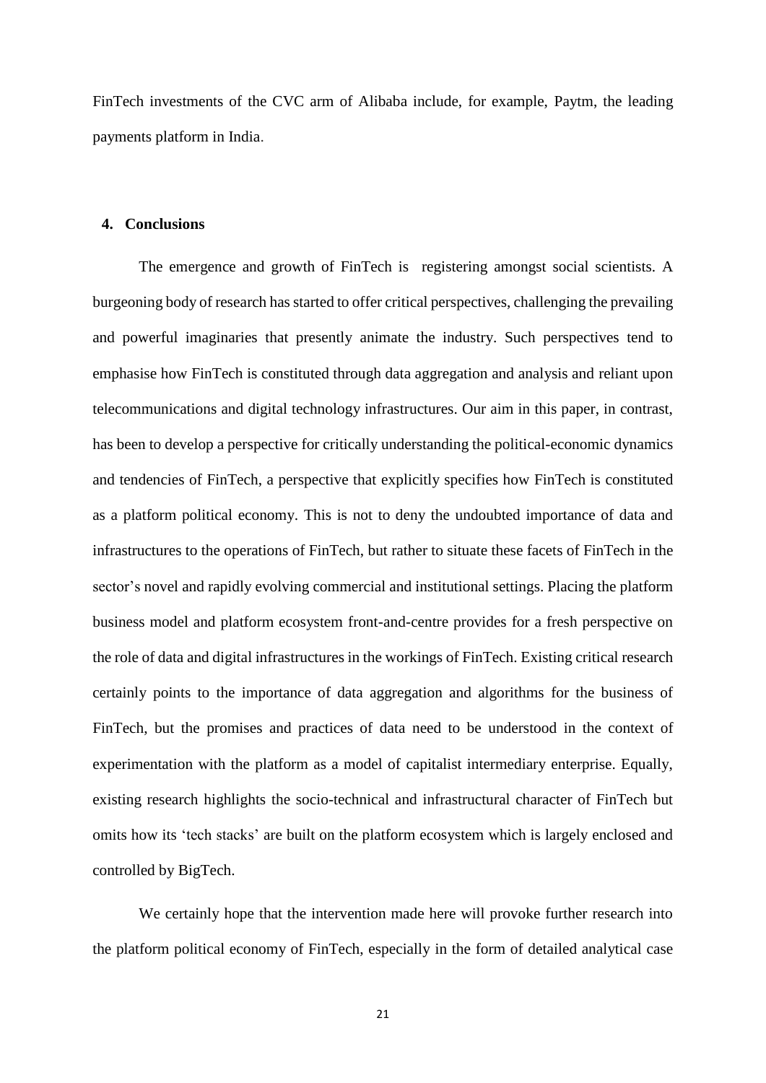FinTech investments of the CVC arm of Alibaba include, for example, Paytm, the leading payments platform in India.

#### **4. Conclusions**

The emergence and growth of FinTech is registering amongst social scientists. A burgeoning body of research has started to offer critical perspectives, challenging the prevailing and powerful imaginaries that presently animate the industry. Such perspectives tend to emphasise how FinTech is constituted through data aggregation and analysis and reliant upon telecommunications and digital technology infrastructures. Our aim in this paper, in contrast, has been to develop a perspective for critically understanding the political-economic dynamics and tendencies of FinTech, a perspective that explicitly specifies how FinTech is constituted as a platform political economy. This is not to deny the undoubted importance of data and infrastructures to the operations of FinTech, but rather to situate these facets of FinTech in the sector's novel and rapidly evolving commercial and institutional settings. Placing the platform business model and platform ecosystem front-and-centre provides for a fresh perspective on the role of data and digital infrastructures in the workings of FinTech. Existing critical research certainly points to the importance of data aggregation and algorithms for the business of FinTech, but the promises and practices of data need to be understood in the context of experimentation with the platform as a model of capitalist intermediary enterprise. Equally, existing research highlights the socio-technical and infrastructural character of FinTech but omits how its 'tech stacks' are built on the platform ecosystem which is largely enclosed and controlled by BigTech.

We certainly hope that the intervention made here will provoke further research into the platform political economy of FinTech, especially in the form of detailed analytical case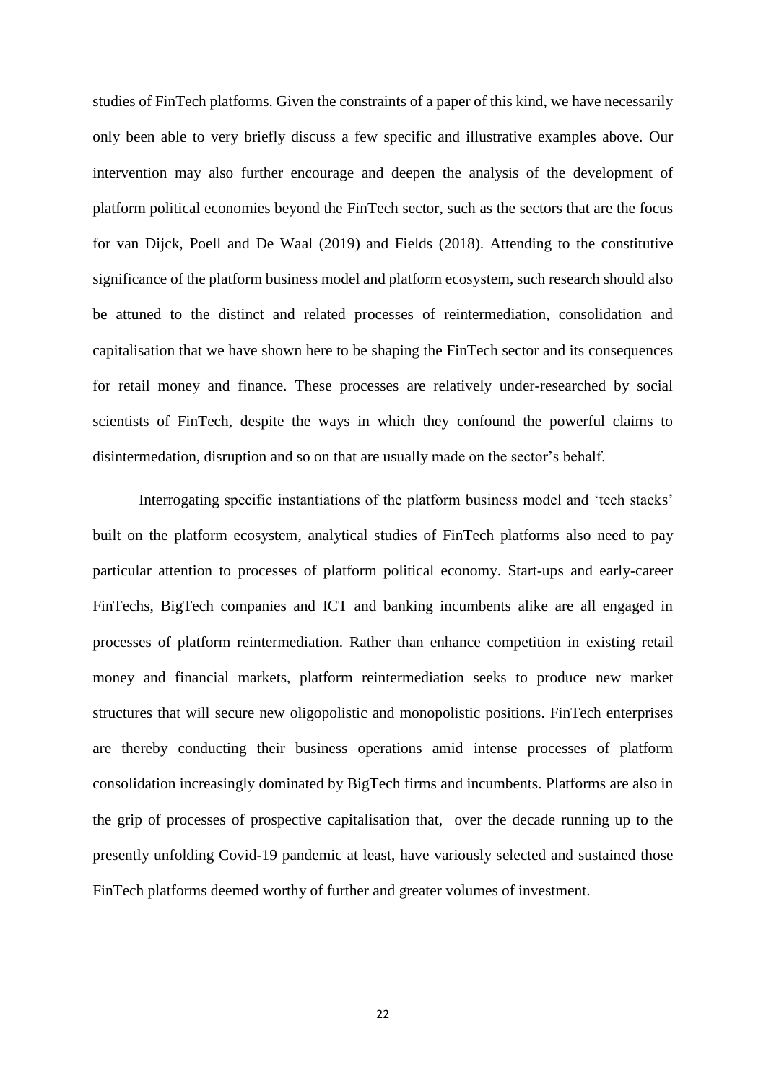studies of FinTech platforms. Given the constraints of a paper of this kind, we have necessarily only been able to very briefly discuss a few specific and illustrative examples above. Our intervention may also further encourage and deepen the analysis of the development of platform political economies beyond the FinTech sector, such as the sectors that are the focus for van Dijck, Poell and De Waal (2019) and Fields (2018). Attending to the constitutive significance of the platform business model and platform ecosystem, such research should also be attuned to the distinct and related processes of reintermediation, consolidation and capitalisation that we have shown here to be shaping the FinTech sector and its consequences for retail money and finance. These processes are relatively under-researched by social scientists of FinTech, despite the ways in which they confound the powerful claims to disintermedation, disruption and so on that are usually made on the sector's behalf.

Interrogating specific instantiations of the platform business model and 'tech stacks' built on the platform ecosystem, analytical studies of FinTech platforms also need to pay particular attention to processes of platform political economy. Start-ups and early-career FinTechs, BigTech companies and ICT and banking incumbents alike are all engaged in processes of platform reintermediation. Rather than enhance competition in existing retail money and financial markets, platform reintermediation seeks to produce new market structures that will secure new oligopolistic and monopolistic positions. FinTech enterprises are thereby conducting their business operations amid intense processes of platform consolidation increasingly dominated by BigTech firms and incumbents. Platforms are also in the grip of processes of prospective capitalisation that, over the decade running up to the presently unfolding Covid-19 pandemic at least, have variously selected and sustained those FinTech platforms deemed worthy of further and greater volumes of investment.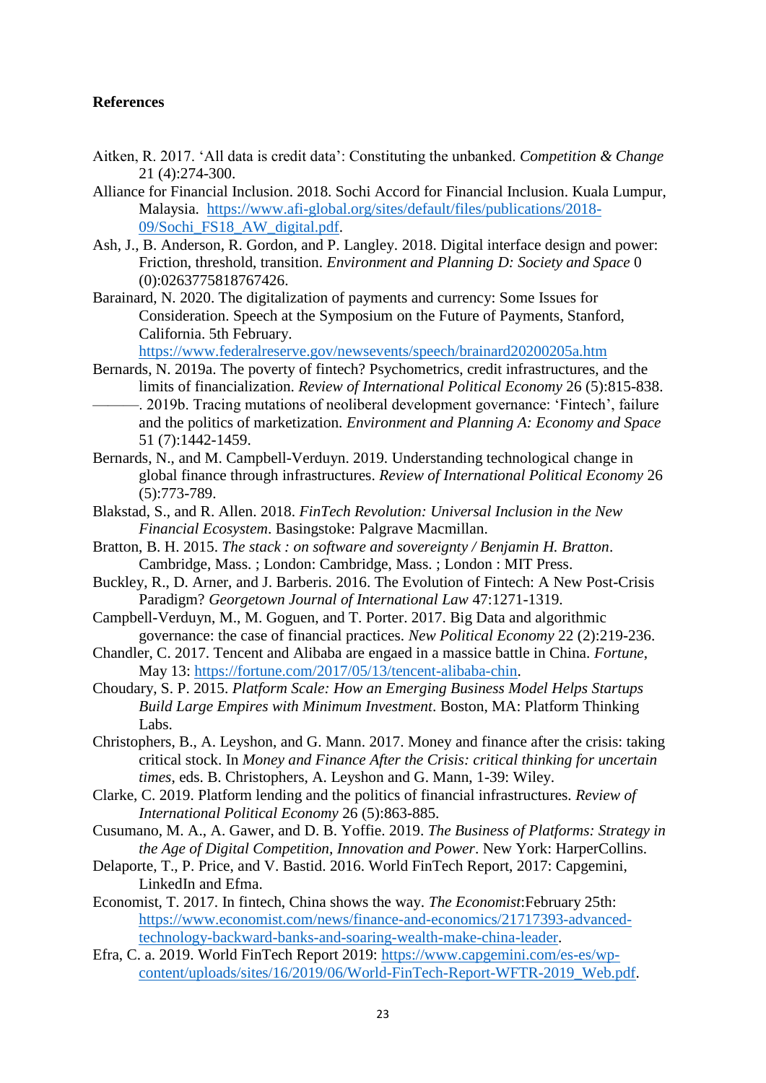## **References**

- Aitken, R. 2017. 'All data is credit data': Constituting the unbanked. *Competition & Change* 21 (4):274-300.
- Alliance for Financial Inclusion. 2018. Sochi Accord for Financial Inclusion. Kuala Lumpur, Malaysia. [https://www.afi-global.org/sites/default/files/publications/2018-](https://www.afi-global.org/sites/default/files/publications/2018-09/Sochi_FS18_AW_digital.pdf) [09/Sochi\\_FS18\\_AW\\_digital.pdf.](https://www.afi-global.org/sites/default/files/publications/2018-09/Sochi_FS18_AW_digital.pdf)
- Ash, J., B. Anderson, R. Gordon, and P. Langley. 2018. Digital interface design and power: Friction, threshold, transition. *Environment and Planning D: Society and Space* 0 (0):0263775818767426.
- Barainard, N. 2020. The digitalization of payments and currency: Some Issues for Consideration. Speech at the Symposium on the Future of Payments, Stanford, California. 5th February.

<https://www.federalreserve.gov/newsevents/speech/brainard20200205a.htm>

- Bernards, N. 2019a. The poverty of fintech? Psychometrics, credit infrastructures, and the limits of financialization. *Review of International Political Economy* 26 (5):815-838. ———. 2019b. Tracing mutations of neoliberal development governance: 'Fintech', failure and the politics of marketization. *Environment and Planning A: Economy and Space* 51 (7):1442-1459.
- Bernards, N., and M. Campbell-Verduyn. 2019. Understanding technological change in global finance through infrastructures. *Review of International Political Economy* 26 (5):773-789.
- Blakstad, S., and R. Allen. 2018. *FinTech Revolution: Universal Inclusion in the New Financial Ecosystem*. Basingstoke: Palgrave Macmillan.
- Bratton, B. H. 2015. *The stack : on software and sovereignty / Benjamin H. Bratton*. Cambridge, Mass. ; London: Cambridge, Mass. ; London : MIT Press.
- Buckley, R., D. Arner, and J. Barberis. 2016. The Evolution of Fintech: A New Post-Crisis Paradigm? *Georgetown Journal of International Law* 47:1271-1319.
- Campbell-Verduyn, M., M. Goguen, and T. Porter. 2017. Big Data and algorithmic governance: the case of financial practices. *New Political Economy* 22 (2):219-236.
- Chandler, C. 2017. Tencent and Alibaba are engaed in a massice battle in China. *Fortune*, May 13: [https://fortune.com/2017/05/13/tencent-alibaba-chin.](https://fortune.com/2017/05/13/tencent-alibaba-chin)
- Choudary, S. P. 2015. *Platform Scale: How an Emerging Business Model Helps Startups Build Large Empires with Minimum Investment*. Boston, MA: Platform Thinking Labs.
- Christophers, B., A. Leyshon, and G. Mann. 2017. Money and finance after the crisis: taking critical stock. In *Money and Finance After the Crisis: critical thinking for uncertain times*, eds. B. Christophers, A. Leyshon and G. Mann, 1-39: Wiley.
- Clarke, C. 2019. Platform lending and the politics of financial infrastructures. *Review of International Political Economy* 26 (5):863-885.
- Cusumano, M. A., A. Gawer, and D. B. Yoffie. 2019. *The Business of Platforms: Strategy in the Age of Digital Competition, Innovation and Power*. New York: HarperCollins.
- Delaporte, T., P. Price, and V. Bastid. 2016. World FinTech Report, 2017: Capgemini, LinkedIn and Efma.
- Economist, T. 2017. In fintech, China shows the way. *The Economist*:February 25th: [https://www.economist.com/news/finance-and-economics/21717393-advanced](https://www.economist.com/news/finance-and-economics/21717393-advanced-technology-backward-banks-and-soaring-wealth-make-china-leader)[technology-backward-banks-and-soaring-wealth-make-china-leader.](https://www.economist.com/news/finance-and-economics/21717393-advanced-technology-backward-banks-and-soaring-wealth-make-china-leader)
- Efra, C. a. 2019. World FinTech Report 2019: [https://www.capgemini.com/es-es/wp](https://www.capgemini.com/es-es/wp-content/uploads/sites/16/2019/06/World-FinTech-Report-WFTR-2019_Web.pdf)[content/uploads/sites/16/2019/06/World-FinTech-Report-WFTR-2019\\_Web.pdf.](https://www.capgemini.com/es-es/wp-content/uploads/sites/16/2019/06/World-FinTech-Report-WFTR-2019_Web.pdf)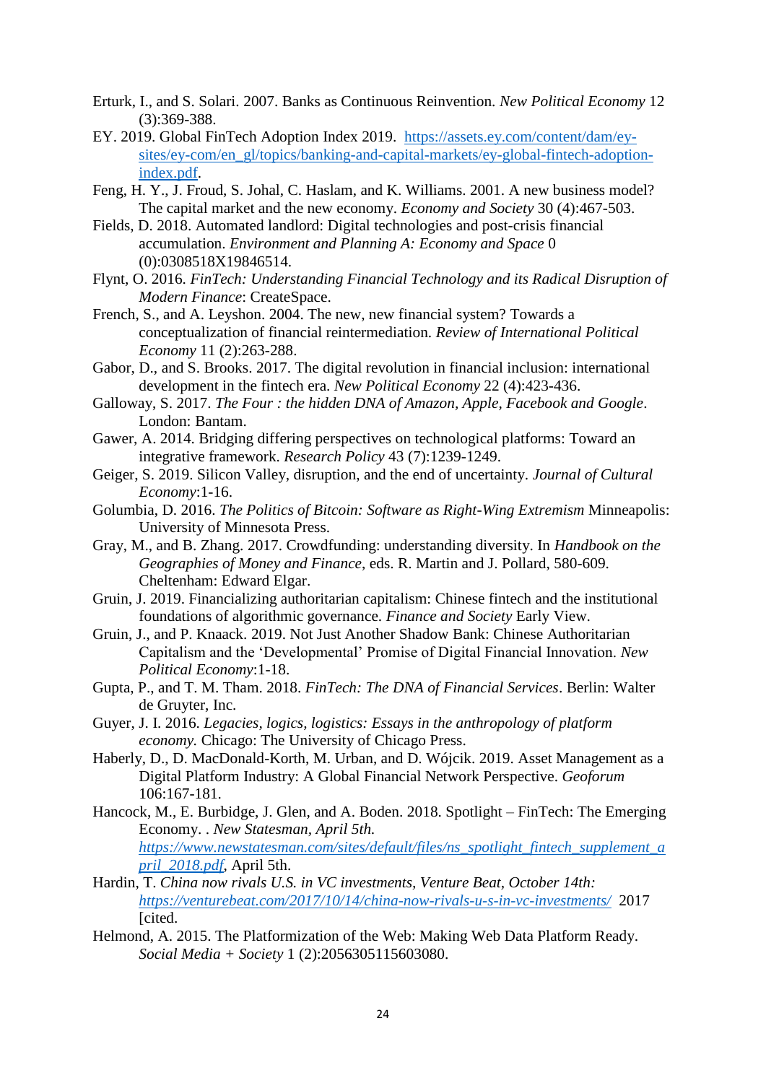- Erturk, I., and S. Solari. 2007. Banks as Continuous Reinvention. *New Political Economy* 12 (3):369-388.
- EY. 2019. Global FinTech Adoption Index 2019. [https://assets.ey.com/content/dam/ey](https://assets.ey.com/content/dam/ey-sites/ey-com/en_gl/topics/banking-and-capital-markets/ey-global-fintech-adoption-index.pdf)[sites/ey-com/en\\_gl/topics/banking-and-capital-markets/ey-global-fintech-adoption](https://assets.ey.com/content/dam/ey-sites/ey-com/en_gl/topics/banking-and-capital-markets/ey-global-fintech-adoption-index.pdf)[index.pdf.](https://assets.ey.com/content/dam/ey-sites/ey-com/en_gl/topics/banking-and-capital-markets/ey-global-fintech-adoption-index.pdf)
- Feng, H. Y., J. Froud, S. Johal, C. Haslam, and K. Williams. 2001. A new business model? The capital market and the new economy. *Economy and Society* 30 (4):467-503.
- Fields, D. 2018. Automated landlord: Digital technologies and post-crisis financial accumulation. *Environment and Planning A: Economy and Space* 0 (0):0308518X19846514.
- Flynt, O. 2016. *FinTech: Understanding Financial Technology and its Radical Disruption of Modern Finance*: CreateSpace.
- French, S., and A. Leyshon. 2004. The new, new financial system? Towards a conceptualization of financial reintermediation. *Review of International Political Economy* 11 (2):263-288.
- Gabor, D., and S. Brooks. 2017. The digital revolution in financial inclusion: international development in the fintech era. *New Political Economy* 22 (4):423-436.
- Galloway, S. 2017. *The Four : the hidden DNA of Amazon, Apple, Facebook and Google*. London: Bantam.
- Gawer, A. 2014. Bridging differing perspectives on technological platforms: Toward an integrative framework. *Research Policy* 43 (7):1239-1249.
- Geiger, S. 2019. Silicon Valley, disruption, and the end of uncertainty. *Journal of Cultural Economy*:1-16.
- Golumbia, D. 2016. *The Politics of Bitcoin: Software as Right-Wing Extremism* Minneapolis: University of Minnesota Press.
- Gray, M., and B. Zhang. 2017. Crowdfunding: understanding diversity. In *Handbook on the Geographies of Money and Finance*, eds. R. Martin and J. Pollard, 580-609. Cheltenham: Edward Elgar.
- Gruin, J. 2019. Financializing authoritarian capitalism: Chinese fintech and the institutional foundations of algorithmic governance. *Finance and Society* Early View.
- Gruin, J., and P. Knaack. 2019. Not Just Another Shadow Bank: Chinese Authoritarian Capitalism and the 'Developmental' Promise of Digital Financial Innovation. *New Political Economy*:1-18.
- Gupta, P., and T. M. Tham. 2018. *FinTech: The DNA of Financial Services*. Berlin: Walter de Gruyter, Inc.
- Guyer, J. I. 2016. *Legacies, logics, logistics: Essays in the anthropology of platform economy.* Chicago: The University of Chicago Press.
- Haberly, D., D. MacDonald-Korth, M. Urban, and D. Wójcik. 2019. Asset Management as a Digital Platform Industry: A Global Financial Network Perspective. *Geoforum* 106:167-181.
- Hancock, M., E. Burbidge, J. Glen, and A. Boden. 2018. Spotlight FinTech: The Emerging Economy. . *New Statesman, April 5th. [https://www.newstatesman.com/sites/default/files/ns\\_spotlight\\_fintech\\_supplement\\_a](https://www.newstatesman.com/sites/default/files/ns_spotlight_fintech_supplement_april_2018.pdf) [pril\\_2018.pdf](https://www.newstatesman.com/sites/default/files/ns_spotlight_fintech_supplement_april_2018.pdf)*, April 5th.
- Hardin, T. *China now rivals U.S. in VC investments, Venture Beat, October 14th: <https://venturebeat.com/2017/10/14/china-now-rivals-u-s-in-vc-investments/>* 2017 [cited.]
- Helmond, A. 2015. The Platformization of the Web: Making Web Data Platform Ready. *Social Media + Society* 1 (2):2056305115603080.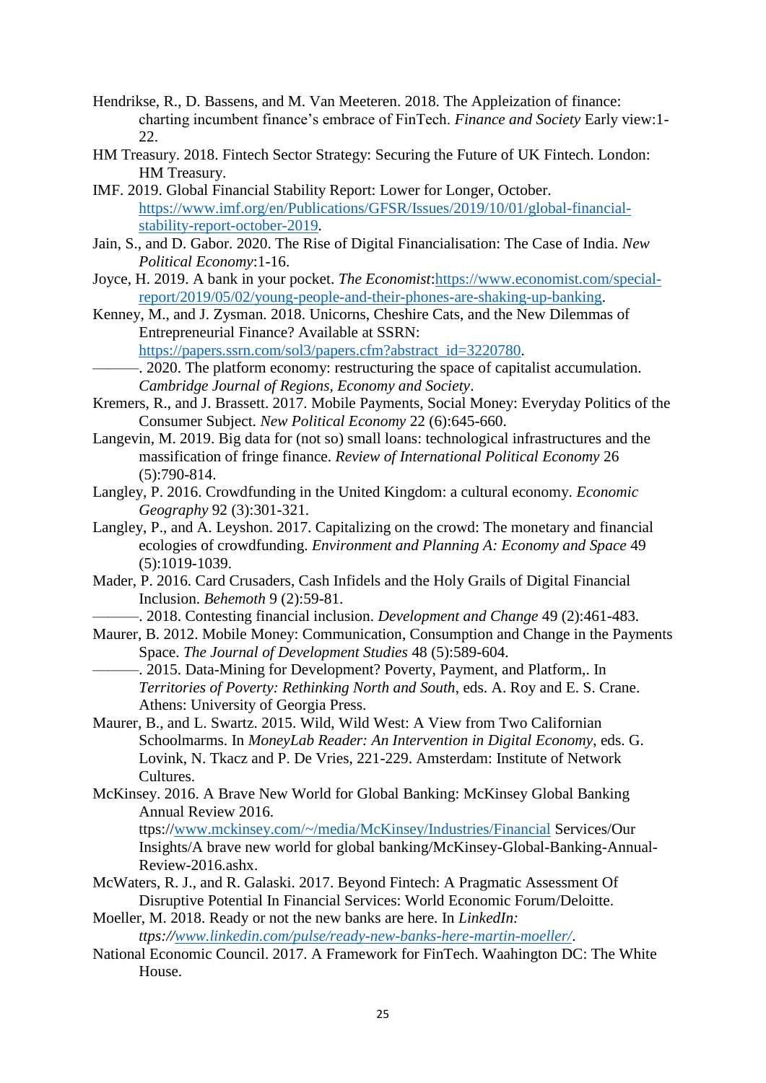- Hendrikse, R., D. Bassens, and M. Van Meeteren. 2018. The Appleization of finance: charting incumbent finance's embrace of FinTech. *Finance and Society* Early view:1- 22.
- HM Treasury. 2018. Fintech Sector Strategy: Securing the Future of UK Fintech. London: HM Treasury.
- IMF. 2019. Global Financial Stability Report: Lower for Longer, October. [https://www.imf.org/en/Publications/GFSR/Issues/2019/10/01/global-financial](https://www.imf.org/en/Publications/GFSR/Issues/2019/10/01/global-financial-stability-report-october-2019)[stability-report-october-2019.](https://www.imf.org/en/Publications/GFSR/Issues/2019/10/01/global-financial-stability-report-october-2019)
- Jain, S., and D. Gabor. 2020. The Rise of Digital Financialisation: The Case of India. *New Political Economy*:1-16.
- Joyce, H. 2019. A bank in your pocket. *The Economist*[:https://www.economist.com/special](https://www.economist.com/special-report/2019/05/02/young-people-and-their-phones-are-shaking-up-banking)[report/2019/05/02/young-people-and-their-phones-are-shaking-up-banking.](https://www.economist.com/special-report/2019/05/02/young-people-and-their-phones-are-shaking-up-banking)
- Kenney, M., and J. Zysman. 2018. Unicorns, Cheshire Cats, and the New Dilemmas of Entrepreneurial Finance? Available at SSRN:

[https://papers.ssrn.com/sol3/papers.cfm?abstract\\_id=3220780.](https://papers.ssrn.com/sol3/papers.cfm?abstract_id=3220780)

- -. 2020. The platform economy: restructuring the space of capitalist accumulation. *Cambridge Journal of Regions, Economy and Society*.
- Kremers, R., and J. Brassett. 2017. Mobile Payments, Social Money: Everyday Politics of the Consumer Subject. *New Political Economy* 22 (6):645-660.
- Langevin, M. 2019. Big data for (not so) small loans: technological infrastructures and the massification of fringe finance. *Review of International Political Economy* 26 (5):790-814.
- Langley, P. 2016. Crowdfunding in the United Kingdom: a cultural economy. *Economic Geography* 92 (3):301-321.
- Langley, P., and A. Leyshon. 2017. Capitalizing on the crowd: The monetary and financial ecologies of crowdfunding. *Environment and Planning A: Economy and Space* 49 (5):1019-1039.
- Mader, P. 2016. Card Crusaders, Cash Infidels and the Holy Grails of Digital Financial Inclusion. *Behemoth* 9 (2):59-81.

———. 2018. Contesting financial inclusion. *Development and Change* 49 (2):461-483.

- Maurer, B. 2012. Mobile Money: Communication, Consumption and Change in the Payments Space. *The Journal of Development Studies* 48 (5):589-604.
	- -. 2015. Data-Mining for Development? Poverty, Payment, and Platform,. In *Territories of Poverty: Rethinking North and South*, eds. A. Roy and E. S. Crane. Athens: University of Georgia Press.
- Maurer, B., and L. Swartz. 2015. Wild, Wild West: A View from Two Californian Schoolmarms. In *MoneyLab Reader: An Intervention in Digital Economy*, eds. G. Lovink, N. Tkacz and P. De Vries, 221-229. Amsterdam: Institute of Network Cultures.
- McKinsey. 2016. A Brave New World for Global Banking: McKinsey Global Banking Annual Review 2016.

ttps:/[/www.mckinsey.com/~/media/McKinsey/Industries/Financial](file:///C:/Users/qxsj65/AppData/Local/Microsoft/Windows/INetCache/Content.Outlook/H68VNRS9/www.mckinsey.com/~/media/McKinsey/Industries/Financial) Services/Our Insights/A brave new world for global banking/McKinsey-Global-Banking-Annual-Review-2016.ashx.

- McWaters, R. J., and R. Galaski. 2017. Beyond Fintech: A Pragmatic Assessment Of Disruptive Potential In Financial Services: World Economic Forum/Deloitte.
- Moeller, M. 2018. Ready or not the new banks are here. In *LinkedIn: ttps:/[/www.linkedin.com/pulse/ready-new-banks-here-martin-moeller/](file:///C:/Users/qxsj65/AppData/Local/Microsoft/Windows/INetCache/Content.Outlook/H68VNRS9/www.linkedin.com/pulse/ready-new-banks-here-martin-moeller/)*.
- National Economic Council. 2017. A Framework for FinTech. Waahington DC: The White House.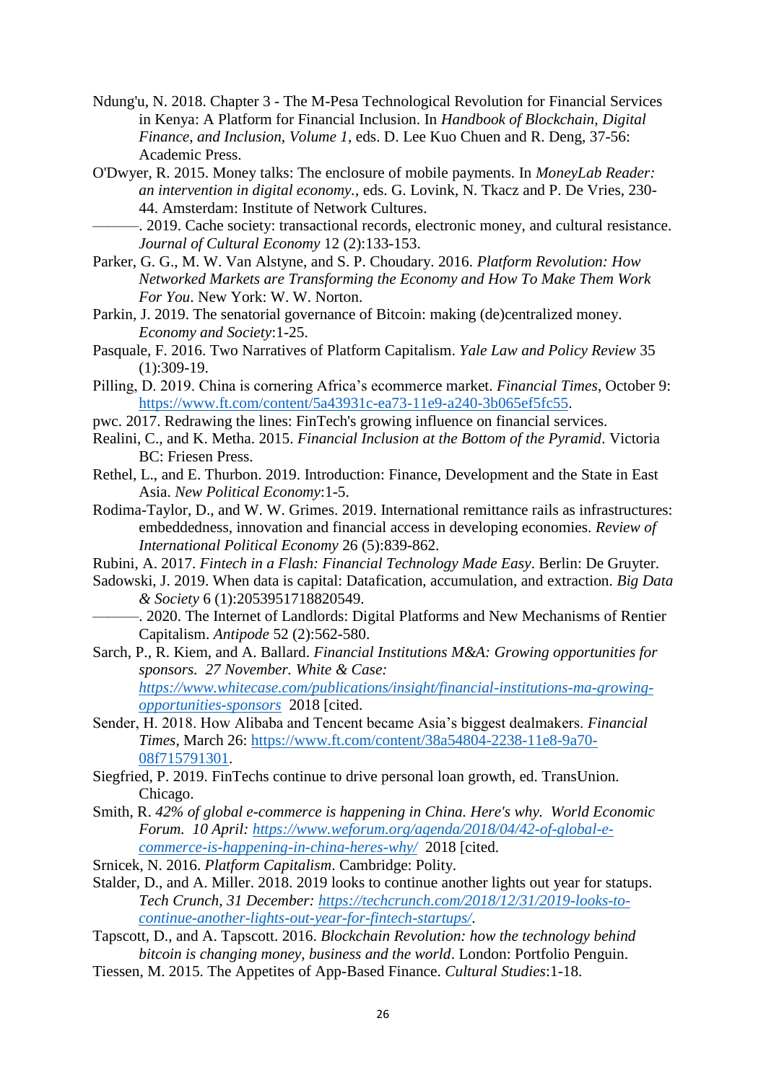- Ndung'u, N. 2018. Chapter 3 The M-Pesa Technological Revolution for Financial Services in Kenya: A Platform for Financial Inclusion. In *Handbook of Blockchain, Digital Finance, and Inclusion, Volume 1*, eds. D. Lee Kuo Chuen and R. Deng, 37-56: Academic Press.
- O'Dwyer, R. 2015. Money talks: The enclosure of mobile payments. In *MoneyLab Reader: an intervention in digital economy.*, eds. G. Lovink, N. Tkacz and P. De Vries, 230- 44. Amsterdam: Institute of Network Cultures.
- ———. 2019. Cache society: transactional records, electronic money, and cultural resistance. *Journal of Cultural Economy* 12 (2):133-153.
- Parker, G. G., M. W. Van Alstyne, and S. P. Choudary. 2016. *Platform Revolution: How Networked Markets are Transforming the Economy and How To Make Them Work For You*. New York: W. W. Norton.
- Parkin, J. 2019. The senatorial governance of Bitcoin: making (de)centralized money. *Economy and Society*:1-25.
- Pasquale, F. 2016. Two Narratives of Platform Capitalism. *Yale Law and Policy Review* 35  $(1):309-19.$
- Pilling, D. 2019. China is cornering Africa's ecommerce market. *Financial Times*, October 9: [https://www.ft.com/content/5a43931c-ea73-11e9-a240-3b065ef5fc55.](https://www.ft.com/content/5a43931c-ea73-11e9-a240-3b065ef5fc55)
- pwc. 2017. Redrawing the lines: FinTech's growing influence on financial services.
- Realini, C., and K. Metha. 2015. *Financial Inclusion at the Bottom of the Pyramid*. Victoria BC: Friesen Press.
- Rethel, L., and E. Thurbon. 2019. Introduction: Finance, Development and the State in East Asia. *New Political Economy*:1-5.
- Rodima-Taylor, D., and W. W. Grimes. 2019. International remittance rails as infrastructures: embeddedness, innovation and financial access in developing economies. *Review of International Political Economy* 26 (5):839-862.
- Rubini, A. 2017. *Fintech in a Flash: Financial Technology Made Easy*. Berlin: De Gruyter.
- Sadowski, J. 2019. When data is capital: Datafication, accumulation, and extraction. *Big Data & Society* 6 (1):2053951718820549.
- -. 2020. The Internet of Landlords: Digital Platforms and New Mechanisms of Rentier Capitalism. *Antipode* 52 (2):562-580.
- Sarch, P., R. Kiem, and A. Ballard. *Financial Institutions M&A: Growing opportunities for sponsors. 27 November. White & Case: [https://www.whitecase.com/publications/insight/financial-institutions-ma-growing](https://www.whitecase.com/publications/insight/financial-institutions-ma-growing-opportunities-sponsors)[opportunities-sponsors](https://www.whitecase.com/publications/insight/financial-institutions-ma-growing-opportunities-sponsors)* 2018 [cited.
- Sender, H. 2018. How Alibaba and Tencent became Asia's biggest dealmakers. *Financial Times*, March 26: [https://www.ft.com/content/38a54804-2238-11e8-9a70-](https://www.ft.com/content/38a54804-2238-11e8-9a70-08f715791301) [08f715791301.](https://www.ft.com/content/38a54804-2238-11e8-9a70-08f715791301)
- Siegfried, P. 2019. FinTechs continue to drive personal loan growth, ed. TransUnion. Chicago.
- Smith, R. *42% of global e-commerce is happening in China. Here's why. World Economic Forum. 10 April: [https://www.weforum.org/agenda/2018/04/42-of-global-e](https://www.weforum.org/agenda/2018/04/42-of-global-e-commerce-is-happening-in-china-heres-why/)[commerce-is-happening-in-china-heres-why/](https://www.weforum.org/agenda/2018/04/42-of-global-e-commerce-is-happening-in-china-heres-why/)* 2018 [cited.
- Srnicek, N. 2016. *Platform Capitalism*. Cambridge: Polity.
- Stalder, D., and A. Miller. 2018. 2019 looks to continue another lights out year for statups. *Tech Crunch, 31 December: [https://techcrunch.com/2018/12/31/2019-looks-to](https://techcrunch.com/2018/12/31/2019-looks-to-continue-another-lights-out-year-for-fintech-startups/)[continue-another-lights-out-year-for-fintech-startups/](https://techcrunch.com/2018/12/31/2019-looks-to-continue-another-lights-out-year-for-fintech-startups/)*.
- Tapscott, D., and A. Tapscott. 2016. *Blockchain Revolution: how the technology behind bitcoin is changing money, business and the world*. London: Portfolio Penguin.
- Tiessen, M. 2015. The Appetites of App-Based Finance. *Cultural Studies*:1-18.